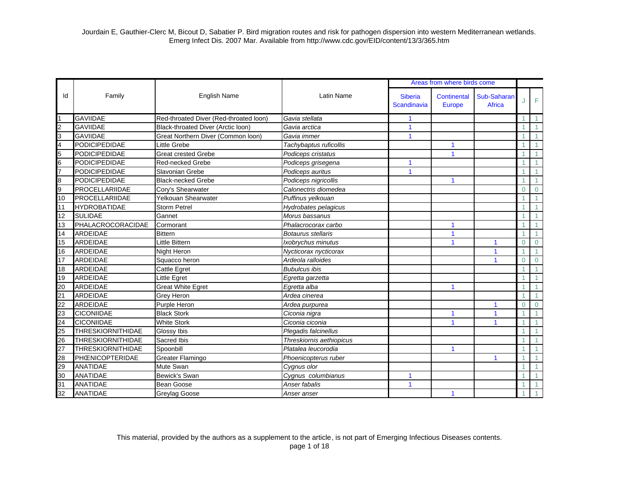|                 |                          |                                        |                           |                               | Areas from where birds come         |                              |                |              |
|-----------------|--------------------------|----------------------------------------|---------------------------|-------------------------------|-------------------------------------|------------------------------|----------------|--------------|
| ld              | Family                   | <b>English Name</b>                    | <b>Latin Name</b>         | <b>Siberia</b><br>Scandinavia | <b>Continental</b><br><b>Europe</b> | Sub-Saharan<br><b>Africa</b> |                | F            |
|                 | <b>GAVIIDAE</b>          | Red-throated Diver (Red-throated loon) | Gavia stellata            | 1                             |                                     |                              |                |              |
| $\overline{2}$  | <b>GAVIIDAE</b>          | Black-throated Diver (Arctic loon)     | Gavia arctica             | $\mathbf{1}$                  |                                     |                              |                |              |
| 3               | <b>GAVIIDAE</b>          | Great Northern Diver (Common loon)     | Gavia immer               | $\mathbf{1}$                  |                                     |                              |                |              |
| 4               | <b>PODICIPEDIDAE</b>     | Little Grebe                           | Tachybaptus ruficollis    |                               | 1                                   |                              |                |              |
| 5               | <b>PODICIPEDIDAE</b>     | <b>Great crested Grebe</b>             | Podiceps cristatus        |                               | $\mathbf{1}$                        |                              |                | 1            |
| 6               | <b>PODICIPEDIDAE</b>     | Red-necked Grebe                       | Podiceps grisegena        | 1                             |                                     |                              |                |              |
|                 | <b>PODICIPEDIDAE</b>     | Slavonian Grebe                        | Podiceps auritus          | $\overline{1}$                |                                     |                              |                |              |
| 8               | <b>PODICIPEDIDAE</b>     | <b>Black-necked Grebe</b>              | Podiceps nigricollis      |                               | 1                                   |                              |                |              |
| 9               | PROCELLARIIDAE           | Cory's Shearwater                      | Calonectris diomedea      |                               |                                     |                              | $\overline{0}$ | $\Omega$     |
| 10              | PROCELLARIIDAE           | Yelkouan Shearwater                    | Puffinus yelkouan         |                               |                                     |                              |                |              |
| 11              | <b>HYDROBATIDAE</b>      | <b>Storm Petrel</b>                    | Hydrobates pelagicus      |                               |                                     |                              |                |              |
| 12              | <b>SULIDAE</b>           | Gannet                                 | Morus bassanus            |                               |                                     |                              |                |              |
| 13              | PHALACROCORACIDAE        | Cormorant                              | Phalacrocorax carbo       |                               | 1                                   |                              |                |              |
| 14              | ARDEIDAE                 | <b>Bittern</b>                         | <b>Botaurus stellaris</b> |                               | 1                                   |                              |                |              |
| $\overline{15}$ | ARDEIDAE                 | Little Bittern                         | Ixobrychus minutus        |                               | 1                                   | 1                            | $\overline{0}$ | $\mathbf 0$  |
| 16              | <b>ARDEIDAE</b>          | Night Heron                            | Nycticorax nycticorax     |                               |                                     | $\mathbf{1}$                 |                | 1            |
| 17              | ARDEIDAE                 | Squacco heron                          | Ardeola ralloides         |                               |                                     | 1                            | $\Omega$       | $\mathbf{0}$ |
| 18              | ARDEIDAE                 | Cattle Egret                           | <b>Bubulcus ibis</b>      |                               |                                     |                              |                |              |
| 19              | <b>ARDEIDAE</b>          | Little Egret                           | Egretta garzetta          |                               |                                     |                              |                |              |
| 20              | <b>ARDEIDAE</b>          | <b>Great White Egret</b>               | Egretta alba              |                               | $\blacktriangleleft$                |                              |                |              |
| 21              | ARDEIDAE                 | Grey Heron                             | Ardea cinerea             |                               |                                     |                              |                |              |
| 22              | ARDEIDAE                 | Purple Heron                           | Ardea purpurea            |                               |                                     | 1                            | $\Omega$       | $\Omega$     |
| 23              | <b>CICONIIDAE</b>        | <b>Black Stork</b>                     | Ciconia nigra             |                               | 1                                   | 1                            |                |              |
| 24              | <b>CICONIIDAE</b>        | <b>White Stork</b>                     | Ciconia ciconia           |                               |                                     |                              |                |              |
| 25              | <b>THRESKIORNITHIDAE</b> | Glossy Ibis                            | Plegadis falcinellus      |                               |                                     |                              |                |              |
| 26              | <b>THRESKIORNITHIDAE</b> | Sacred Ibis                            | Threskiornis aethiopicus  |                               |                                     |                              |                |              |
| 27              | <b>THRESKIORNITHIDAE</b> | Spoonbill                              | Platalea leucorodia       |                               | $\mathbf{1}$                        |                              |                | $\mathbf{1}$ |
| 28              | PHŒNICOPTERIDAE          | Greater Flamingo                       | Phoenicopterus ruber      |                               |                                     | $\mathbf{1}$                 |                |              |
| 29              | <b>ANATIDAE</b>          | Mute Swan                              | Cygnus olor               |                               |                                     |                              |                | $\mathbf{1}$ |
| 30              | <b>ANATIDAE</b>          | Bewick's Swan                          | Cygnus columbianus        | 1                             |                                     |                              |                | 1            |
| 31              | ANATIDAE                 | <b>Bean Goose</b>                      | Anser fabalis             | $\overline{1}$                |                                     |                              |                | 1            |
| 32              | <b>ANATIDAE</b>          | Greylag Goose                          | Anser anser               |                               | 1                                   |                              |                |              |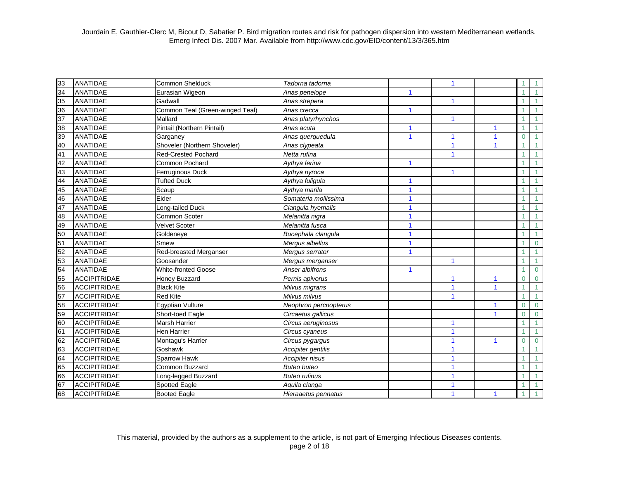| 33                                                    | <b>ANATIDAE</b>     | Common Shelduck                 | Tadorna tadorna       |              | $\mathbf{1}$            |                         |                |                |
|-------------------------------------------------------|---------------------|---------------------------------|-----------------------|--------------|-------------------------|-------------------------|----------------|----------------|
| 34                                                    | ANATIDAE            | Eurasian Wigeon                 | Anas penelope         | 1            |                         |                         |                |                |
|                                                       | <b>ANATIDAE</b>     | Gadwall                         | Anas strepera         |              | $\blacktriangleleft$    |                         |                |                |
| $\frac{36}{1}$                                        | <b>ANATIDAE</b>     | Common Teal (Green-winged Teal) | Anas crecca           | $\mathbf{1}$ |                         |                         |                |                |
| $\frac{37}{38}$<br>$\frac{39}{40}$                    | <b>ANATIDAE</b>     | Mallard                         | Anas platyrhynchos    |              | 1                       |                         |                |                |
|                                                       | <b>ANATIDAE</b>     | Pintail (Northern Pintail)      | Anas acuta            | 1            |                         | $\mathbf{1}$            |                |                |
|                                                       | <b>ANATIDAE</b>     | Garganey                        | Anas querquedula      | 1            | $\mathbf{1}$            | $\mathbf{1}$            | $\Omega$       |                |
|                                                       | <b>ANATIDAE</b>     | Shoveler (Northern Shoveler)    | Anas clypeata         |              | 1                       | $\overline{\mathbf{1}}$ |                |                |
| $\frac{1}{41}$<br>$\frac{42}{43}$                     | <b>ANATIDAE</b>     | <b>Red-Crested Pochard</b>      | Netta rufina          |              | $\blacktriangleleft$    |                         |                |                |
|                                                       | <b>ANATIDAE</b>     | Common Pochard                  | Aythya ferina         | 1            |                         |                         |                |                |
|                                                       | <b>ANATIDAE</b>     | Ferruginous Duck                | Aythya nyroca         |              | 1                       |                         |                |                |
| 44                                                    | <b>ANATIDAE</b>     | <b>Tufted Duck</b>              | Aythya fuligula       | 1            |                         |                         |                |                |
| 45                                                    | <b>ANATIDAE</b>     | Scaup                           | Aythya marila         | 1            |                         |                         |                |                |
| 46                                                    | <b>ANATIDAE</b>     | Eider                           | Somateria mollissima  | 1            |                         |                         |                |                |
| 47                                                    | <b>ANATIDAE</b>     | Long-tailed Duck                | Clangula hyemalis     | 1            |                         |                         |                |                |
| $\frac{48}{49}$                                       | <b>ANATIDAE</b>     | Common Scoter                   | Melanitta nigra       | 1            |                         |                         |                |                |
|                                                       | <b>ANATIDAE</b>     | <b>Velvet Scoter</b>            | Melanitta fusca       | 1            |                         |                         |                |                |
|                                                       | <b>ANATIDAE</b>     | Goldeneye                       | Bucephala clangula    | 1            |                         |                         |                |                |
|                                                       | <b>ANATIDAE</b>     | Smew                            | Mergus albellus       | 1            |                         |                         |                | $\Omega$       |
| $\frac{50}{51}$<br>$\frac{51}{52}$<br>$\frac{52}{53}$ | <b>ANATIDAE</b>     | Red-breasted Merganser          | Mergus serrator       | $\mathbf{1}$ |                         |                         |                |                |
|                                                       | <b>ANATIDAE</b>     | Goosander                       | Mergus merganser      |              | $\mathbf{1}$            |                         |                |                |
| 54                                                    | <b>ANATIDAE</b>     | <b>White-fronted Goose</b>      | Anser albifrons       | 1            |                         |                         |                | $\Omega$       |
| $\frac{1}{20}$                                        | <b>ACCIPITRIDAE</b> | <b>Honey Buzzard</b>            | Pernis apivorus       |              | 1                       | $\mathbf{1}$            | $\Omega$       | $\Omega$       |
|                                                       | <b>ACCIPITRIDAE</b> | <b>Black Kite</b>               | Milvus migrans        |              | 1                       | $\mathbf{1}$            |                |                |
| 57                                                    | <b>ACCIPITRIDAE</b> | <b>Red Kite</b>                 | Milvus milvus         |              |                         |                         |                |                |
| 58                                                    | <b>ACCIPITRIDAE</b> | <b>Egyptian Vulture</b>         | Neophron percnopterus |              |                         | 1                       | $\mathbf 0$    | $\overline{0}$ |
| 59                                                    | <b>ACCIPITRIDAE</b> | Short-toed Eagle                | Circaetus gallicus    |              |                         | $\mathbf{1}$            | $\overline{0}$ | $\overline{0}$ |
| 60                                                    | <b>ACCIPITRIDAE</b> | <b>Marsh Harrier</b>            | Circus aeruginosus    |              | $\mathbf{1}$            |                         |                |                |
| 61                                                    | <b>ACCIPITRIDAE</b> | <b>Hen Harrier</b>              | Circus cyaneus        |              | $\overline{\mathbf{1}}$ |                         |                |                |
| 62                                                    | <b>ACCIPITRIDAE</b> | Montagu's Harrier               | Circus pygargus       |              | 1                       | $\mathbf{1}$            | $\Omega$       | $\overline{0}$ |
| 63                                                    | <b>ACCIPITRIDAE</b> | Goshawk                         | Accipiter gentilis    |              |                         |                         |                |                |
| 64                                                    | <b>ACCIPITRIDAE</b> | Sparrow Hawk                    | Accipiter nisus       |              | 1                       |                         |                |                |
| 65                                                    | <b>ACCIPITRIDAE</b> | Common Buzzard                  | <b>Buteo buteo</b>    |              | 1                       |                         |                |                |
| 66                                                    | <b>ACCIPITRIDAE</b> | Long-legged Buzzard             | <b>Buteo rufinus</b>  |              | $\blacktriangleleft$    |                         |                |                |
| $\frac{67}{68}$                                       | <b>ACCIPITRIDAE</b> | Spotted Eagle                   | Aquila clanga         |              | $\blacktriangleleft$    |                         |                |                |
|                                                       | <b>ACCIPITRIDAE</b> | <b>Booted Eagle</b>             | Hieraaetus pennatus   |              |                         | $\mathbf{1}$            |                |                |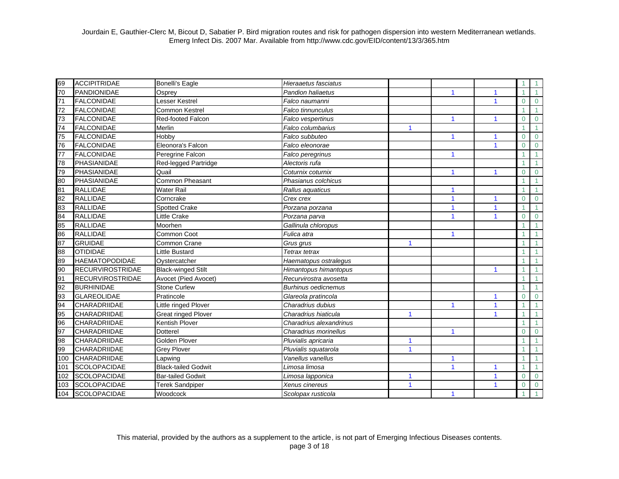| 69              | <b>ACCIPITRIDAE</b>     | <b>Bonelli's Eagle</b>                             | Hieraaetus fasciatus       |              |   |                      |                |                |
|-----------------|-------------------------|----------------------------------------------------|----------------------------|--------------|---|----------------------|----------------|----------------|
| 70              | PANDIONIDAE             | Osprey                                             | Pandion haliaetus          |              | 1 | 1                    |                |                |
| $\overline{71}$ | <b>FALCONIDAE</b>       | Lesser Kestrel                                     | Falco naumanni             |              |   | 1                    | $\Omega$       | $\overline{0}$ |
| 72              | <b>FALCONIDAE</b>       | <b>Common Kestrel</b>                              | Falco tinnunculus          |              |   |                      |                |                |
| 73              | <b>FALCONIDAE</b>       | Red-footed Falcon                                  | Falco vespertinus          |              | 1 | $\blacktriangleleft$ | $\Omega$       | $\Omega$       |
| 74              | <b>FALCONIDAE</b>       | Merlin                                             | Falco columbarius          | 1            |   |                      |                |                |
| 75              | <b>FALCONIDAE</b>       | Hobby                                              | Falco subbuteo             |              | 1 | 1                    | $\overline{0}$ | $\Omega$       |
| 76              | <b>FALCONIDAE</b>       | Eleonora's Falcon                                  | Falco eleonorae            |              |   | 1                    | $\overline{0}$ | $\Omega$       |
| $\overline{77}$ | <b>FALCONIDAE</b>       | Peregrine Falcon                                   | Falco peregrinus           |              | 1 |                      |                |                |
| 78              | PHASIANIDAE             | Red-legged Partridge                               | Alectoris rufa             |              |   |                      |                |                |
| 79              | <b>PHASIANIDAE</b>      | Quail                                              | Coturnix coturnix          |              |   | 1                    | $\Omega$       | $\Omega$       |
| 80              | <b>PHASIANIDAE</b>      | <b>Common Pheasant</b>                             | Phasianus colchicus        |              |   |                      |                |                |
| $\overline{81}$ | <b>RALLIDAE</b>         | <b>Water Rail</b>                                  | Rallus aquaticus           |              | 1 |                      |                |                |
| 82              | <b>RALLIDAE</b>         | Corncrake                                          | Crex crex                  |              | 1 | 1                    | $\overline{0}$ | $\overline{0}$ |
| 83              | <b>RALLIDAE</b>         | <b>Spotted Crake</b>                               | Porzana porzana            |              | 1 | 1                    |                |                |
| 84              | <b>RALLIDAE</b>         | Little Crake                                       | Porzana parva              |              | 1 | 1                    | $\Omega$       | $\Omega$       |
| 85              | <b>RALLIDAE</b>         | Moorhen                                            | Gallinula chloropus        |              |   |                      |                |                |
| 86              | <b>RALLIDAE</b>         | <b>Common Coot</b>                                 | Fulica atra                |              | 1 |                      |                |                |
| 87              | <b>GRUIDAE</b>          | Common Crane                                       | Grus grus                  | 1            |   |                      |                |                |
| 88              | <b>OTIDIDAE</b>         | <b>Little Bustard</b>                              | Tetrax tetrax              |              |   |                      |                |                |
| 89              | <b>HAEMATOPODIDAE</b>   | Oystercatcher                                      | Haematopus ostralegus      |              |   |                      |                |                |
| 90              | <b>RECURVIROSTRIDAE</b> | <b>Black-winged Stilt</b><br>Himantopus himantopus |                            |              |   | 1                    |                |                |
| 91              | <b>RECURVIROSTRIDAE</b> | Avocet (Pied Avocet)                               | Recurvirostra avosetta     |              |   |                      |                |                |
| 92              | <b>BURHINIDAE</b>       | <b>Stone Curlew</b>                                | <b>Burhinus oedicnemus</b> |              |   |                      |                |                |
| 93              | <b>GLAREOLIDAE</b>      | Pratincole                                         | Glareola pratincola        |              |   | 1                    | $\Omega$       | $\Omega$       |
| 94              | CHARADRIIDAE            | Little ringed Plover                               | Charadrius dubius          |              |   | 1                    |                |                |
| 95              | CHARADRIIDAE            | <b>Great ringed Plover</b>                         | Charadrius hiaticula       | 1            |   | 1                    |                |                |
| 96              | <b>CHARADRIIDAE</b>     | Kentish Plover                                     | Charadrius alexandrinus    |              |   |                      |                |                |
| 97              | CHARADRIIDAE            | Dotterel                                           | Charadrius morinellus      |              | 1 |                      | $\Omega$       | $\Omega$       |
| 98              | <b>CHARADRIIDAE</b>     | <b>Golden Plover</b>                               | Pluvialis apricaria        | 1            |   |                      |                |                |
| 99              | CHARADRIIDAE            | <b>Grey Plover</b>                                 | Pluvialis squatarola       | $\mathbf{1}$ |   |                      |                |                |
| 100             | CHARADRIIDAE            | Lapwing                                            | Vanellus vanellus          |              | 1 |                      |                |                |
| 101             | <b>SCOLOPACIDAE</b>     | <b>Black-tailed Godwit</b>                         | Limosa limosa              |              | 1 | 1                    |                |                |
| 102             | <b>SCOLOPACIDAE</b>     | <b>Bar-tailed Godwit</b>                           | Limosa lapponica           | 1            |   | 1                    | $\Omega$       | $\Omega$       |
| 103             | <b>SCOLOPACIDAE</b>     | <b>Terek Sandpiper</b>                             | Xenus cinereus             | $\mathbf{1}$ |   | 1                    | $\Omega$       | $\overline{0}$ |
| 104             | <b>SCOLOPACIDAE</b>     | Woodcock                                           | Scolopax rusticola         |              | 1 |                      |                |                |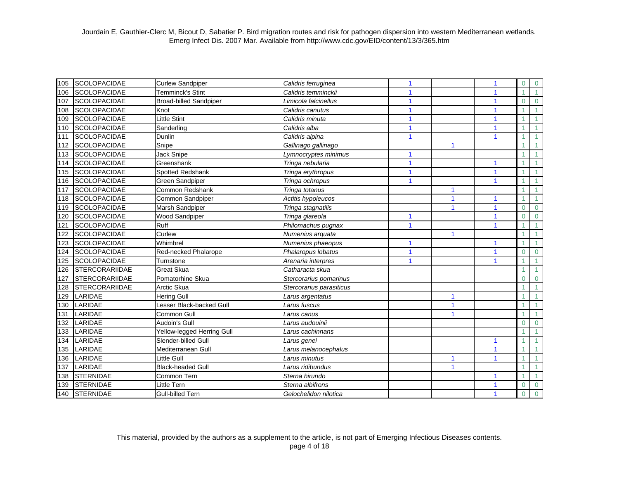| 105 | <b>SCOLOPACIDAE</b>   | <b>Curlew Sandpiper</b>       | Calidris ferruginea       | 1                       |                      | 1                       | $\overline{0}$ | $\overline{0}$ |
|-----|-----------------------|-------------------------------|---------------------------|-------------------------|----------------------|-------------------------|----------------|----------------|
| 106 | <b>SCOLOPACIDAE</b>   | Temminck's Stint              | Calidris temminckii       | 1                       |                      | $\mathbf{1}$            |                |                |
| 107 | <b>SCOLOPACIDAE</b>   | <b>Broad-billed Sandpiper</b> | Limicola falcinellus      | 1                       |                      | $\overline{\mathbf{1}}$ | $\Omega$       | $\overline{0}$ |
| 108 | <b>SCOLOPACIDAE</b>   | Knot                          | Calidris canutus          | 1                       |                      |                         |                |                |
| 109 | <b>SCOLOPACIDAE</b>   | <b>Little Stint</b>           | Calidris minuta           | 1                       |                      | $\overline{\mathbf{1}}$ |                |                |
| 110 | <b>SCOLOPACIDAE</b>   | Sanderling                    | Calidris alba             | $\overline{1}$          |                      | $\overline{\mathbf{1}}$ |                |                |
| 111 | <b>SCOLOPACIDAE</b>   | Dunlin                        | Calidris alpina           | 1                       |                      | 1                       |                |                |
| 112 | <b>SCOLOPACIDAE</b>   | Snipe                         | Gallinago gallinago       |                         | $\blacktriangleleft$ |                         |                |                |
| 113 | <b>SCOLOPACIDAE</b>   | Jack Snipe                    | Lymnocryptes minimus      | 1                       |                      |                         |                |                |
| 114 | <b>SCOLOPACIDAE</b>   | Greenshank                    | Tringa nebularia          | $\mathbf{1}$            |                      | 1                       |                |                |
| 115 | <b>SCOLOPACIDAE</b>   | <b>Spotted Redshank</b>       | Tringa erythropus         | 1                       |                      | $\overline{\mathbf{1}}$ |                |                |
| 116 | <b>SCOLOPACIDAE</b>   | Green Sandpiper               | Tringa ochropus           | 1                       |                      | $\overline{\mathbf{1}}$ |                |                |
| 117 | <b>SCOLOPACIDAE</b>   | Common Redshank               | Tringa totanus            |                         | 1                    |                         |                |                |
| 118 | <b>SCOLOPACIDAE</b>   | Common Sandpiper              | Actitis hypoleucos        |                         | 1                    | $\mathbf{1}$            |                |                |
| 119 | <b>SCOLOPACIDAE</b>   | Marsh Sandpiper               | Tringa stagnatilis        |                         | $\blacktriangleleft$ | $\mathbf{1}$            | $\Omega$       | $\mathbf 0$    |
| 120 | <b>SCOLOPACIDAE</b>   | Wood Sandpiper                | Tringa glareola           | 1                       |                      | $\mathbf{1}$            | $\Omega$       | $\mathbf 0$    |
| 121 | <b>SCOLOPACIDAE</b>   | Ruff                          | Philomachus pugnax        | $\mathbf{1}$            |                      | $\mathbf{1}$            |                |                |
| 122 | <b>SCOLOPACIDAE</b>   | Curlew                        | Numenius arquata          |                         | 1                    |                         |                |                |
| 123 | <b>SCOLOPACIDAE</b>   | Whimbrel                      | Numenius phaeopus         | $\overline{\mathbf{1}}$ |                      | $\overline{1}$          |                |                |
| 124 | <b>SCOLOPACIDAE</b>   | Red-necked Phalarope          | Phalaropus lobatus        | 1                       |                      | $\overline{\mathbf{1}}$ | $\Omega$       | $\Omega$       |
| 125 | <b>SCOLOPACIDAE</b>   | Turnstone                     | Arenaria interpres        | 1                       |                      | 1                       |                |                |
| 126 | <b>STERCORARIIDAE</b> | <b>Great Skua</b>             | Catharacta skua           |                         |                      |                         |                |                |
| 127 | <b>STERCORARIIDAE</b> | Pomatorhine Skua              | Stercorarius pomarinus    |                         |                      |                         | 0              | $\Omega$       |
| 128 | <b>STERCORARIIDAE</b> | Arctic Skua                   | Stercorarius parasiticus  |                         |                      |                         |                |                |
| 129 | LARIDAE               | Hering Gull                   | Larus argentatus          |                         |                      |                         |                |                |
| 130 | LARIDAE               | Lesser Black-backed Gull      | Larus fuscus              |                         | 1                    |                         |                |                |
| 131 | LARIDAE               | Common Gull                   | Larus canus               |                         |                      |                         |                |                |
| 132 | LARIDAE               | Audoin's Gull                 | Larus audouinii           |                         |                      |                         | $\Omega$       | $\Omega$       |
| 133 | LARIDAE               | Yellow-legged Herring Gull    | Larus cachinnans          |                         |                      |                         |                |                |
| 134 | LARIDAE               | Slender-billed Gull           | Larus genei               |                         |                      | $\mathbf{1}$            |                |                |
| 135 | LARIDAE               | Mediterranean Gull            | —<br>Larus melanocephalus |                         |                      | $\mathbf{1}$            |                |                |
| 136 | LARIDAE               | Little Gull                   | Larus minutus             |                         |                      | $\overline{\mathbf{1}}$ |                |                |
| 137 | LARIDAE               | <b>Black-headed Gull</b>      | Larus ridibundus          |                         | 1                    |                         |                |                |
| 138 | <b>STERNIDAE</b>      | Common Tern                   | Sterna hirundo            |                         |                      | $\mathbf{1}$            |                |                |
| 139 | <b>STERNIDAE</b>      | Little Tern                   | Sterna albifrons          |                         |                      | 1                       | $\Omega$       | $\mathbf 0$    |
| 140 | <b>STERNIDAE</b>      | <b>Gull-billed Tern</b>       | Gelochelidon nilotica     |                         |                      | $\overline{\mathbf{1}}$ | $\mathbf{0}$   | $\Omega$       |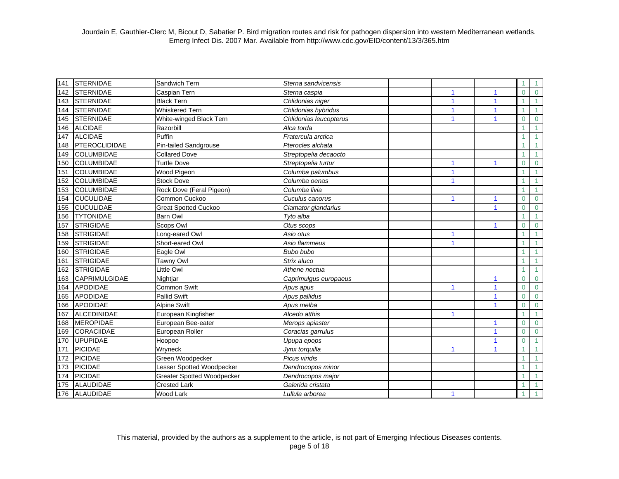| 141 | <b>STERNIDAE</b>     | Sandwich Tern                     | Sterna sandvicensis    |                      |                      |                | 1              |
|-----|----------------------|-----------------------------------|------------------------|----------------------|----------------------|----------------|----------------|
| 142 | <b>STERNIDAE</b>     | Caspian Tern                      | Sterna caspia          | 1                    | 1                    | $\Omega$       | $\overline{0}$ |
| 143 | <b>STERNIDAE</b>     | <b>Black Tern</b>                 | Chlidonias niger       | 1                    | 1                    |                | 1              |
| 144 | <b>STERNIDAE</b>     | <b>Whiskered Tern</b>             | Chlidonias hybridus    |                      | 1                    |                | 1              |
| 145 | <b>STERNIDAE</b>     | White-winged Black Tern           | Chlidonias leucopterus | 1                    | $\blacktriangleleft$ | $\Omega$       | $\Omega$       |
| 146 | <b>ALCIDAE</b>       | Razorbill                         | Alca torda             |                      |                      |                |                |
| 147 | <b>ALCIDAE</b>       | Puffin                            | Fratercula arctica     |                      |                      |                |                |
| 148 | <b>PTEROCLIDIDAE</b> | Pin-tailed Sandgrouse             | Pterocles alchata      |                      |                      |                |                |
| 149 | <b>COLUMBIDAE</b>    | <b>Collared Dove</b>              | Streptopelia decaocto  |                      |                      |                |                |
| 150 | <b>COLUMBIDAE</b>    | Turtle Dove                       | Streptopelia turtur    |                      |                      | $\Omega$       | $\Omega$       |
| 151 | <b>COLUMBIDAE</b>    | Wood Pigeon                       | Columba palumbus       | 1                    |                      |                |                |
| 152 | <b>COLUMBIDAE</b>    | <b>Stock Dove</b>                 | Columba oenas          | 1                    |                      |                |                |
| 153 | <b>COLUMBIDAE</b>    | Rock Dove (Feral Pigeon)          | Columba livia          |                      |                      |                | 1              |
| 154 | <b>CUCULIDAE</b>     | Common Cuckoo                     | Cuculus canorus        | 1                    | 1                    | $\Omega$       | $\overline{0}$ |
| 155 | <b>CUCULIDAE</b>     | <b>Great Spotted Cuckoo</b>       | Clamator glandarius    |                      | 1                    | $\Omega$       | $\Omega$       |
| 156 | <b>TYTONIDAE</b>     | <b>Barn Owl</b>                   | Tyto alba              |                      |                      |                |                |
| 157 | <b>STRIGIDAE</b>     | Scops Owl                         | Otus scops             |                      | 1                    | $\Omega$       | $\mathbf 0$    |
| 158 | <b>STRIGIDAE</b>     | Long-eared Owl                    | Asio otus              | 1                    |                      |                |                |
| 159 | <b>STRIGIDAE</b>     | Short-eared Owl                   | Asio flammeus          | 1                    |                      |                |                |
| 160 | <b>STRIGIDAE</b>     | Eagle Owl                         | Bubo bubo              |                      |                      |                |                |
| 161 | <b>STRIGIDAE</b>     | Tawny Owl                         | Strix aluco            |                      |                      |                |                |
| 162 | <b>STRIGIDAE</b>     | Little Owl                        | Athene noctua          |                      |                      |                |                |
| 163 | CAPRIMULGIDAE        | Nightjar                          | Caprimulgus europaeus  |                      | 1                    | $\overline{0}$ | $\overline{0}$ |
| 164 | <b>APODIDAE</b>      | Common Swift                      | Apus apus              |                      | 1                    | $\Omega$       | $\overline{0}$ |
| 165 | <b>APODIDAE</b>      | <b>Pallid Swift</b>               | Apus pallidus          |                      | 1                    | $\Omega$       | $\overline{0}$ |
| 166 | <b>APODIDAE</b>      | <b>Alpine Swift</b>               | Apus melba             |                      | 1                    | $\overline{0}$ | $\overline{0}$ |
| 167 | <b>ALCEDINIDAE</b>   | European Kingfisher               | Alcedo atthis          | 1                    |                      |                |                |
| 168 | <b>MEROPIDAE</b>     | European Bee-eater                | Merops apiaster        |                      | 1                    | $\Omega$       | $\mathbf 0$    |
| 169 | <b>CORACIIDAE</b>    | European Roller                   | Coracias garrulus      |                      | 1                    | $\Omega$       | $\Omega$       |
| 170 | <b>UPUPIDAE</b>      | Hoopoe                            | Upupa epops            |                      | 1                    | $\Omega$       |                |
| 171 | PICIDAE              | Wryneck                           | Jynx torquilla         | 1                    | 1                    |                | 1              |
| 172 | <b>PICIDAE</b>       | Green Woodpecker                  | Picus viridis          |                      |                      |                |                |
| 173 | <b>PICIDAE</b>       | Lesser Spotted Woodpecker         | Dendrocopos minor      |                      |                      |                |                |
| 174 | <b>PICIDAE</b>       | <b>Greater Spotted Woodpecker</b> | Dendrocopos major      |                      |                      |                |                |
| 175 | <b>ALAUDIDAE</b>     | <b>Crested Lark</b>               | Galerida cristata      |                      |                      |                |                |
| 176 | <b>ALAUDIDAE</b>     | <b>Wood Lark</b>                  | Lullula arborea        | $\blacktriangleleft$ |                      |                |                |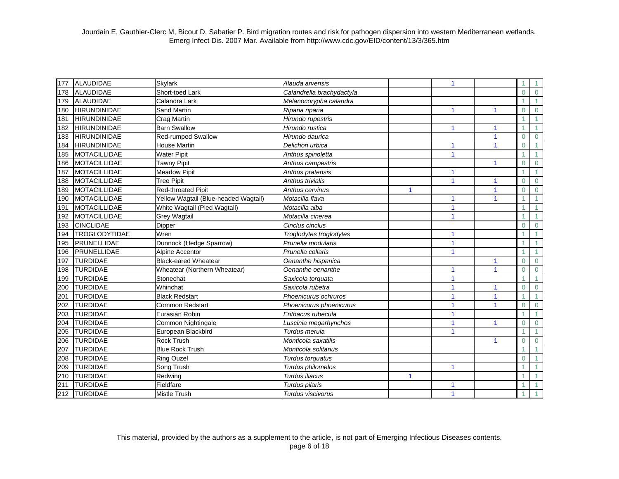| 177 | <b>ALAUDIDAE</b>     | <b>Skylark</b>                       | Alauda arvensis           |              | 1                       |                         |                |                      |
|-----|----------------------|--------------------------------------|---------------------------|--------------|-------------------------|-------------------------|----------------|----------------------|
| 178 | <b>ALAUDIDAE</b>     | Short-toed Lark                      | Calandrella brachydactyla |              |                         |                         | $\overline{0}$ | $\overline{0}$       |
| 179 | <b>ALAUDIDAE</b>     | Calandra Lark                        | Melanocorypha calandra    |              |                         |                         |                |                      |
| 180 | <b>HIRUNDINIDAE</b>  | Sand Martin                          | Riparia riparia           |              | 1                       | 1                       | $\overline{0}$ | $\overline{0}$       |
| 181 | <b>HIRUNDINIDAE</b>  | <b>Crag Martin</b>                   | Hirundo rupestris         |              |                         |                         |                | $\blacktriangleleft$ |
| 182 | <b>HIRUNDINIDAE</b>  | <b>Barn Swallow</b>                  | Hirundo rustica           |              | $\blacktriangleleft$    | 1                       |                |                      |
| 183 | <b>HIRUNDINIDAE</b>  | Red-rumped Swallow                   | Hirundo daurica           |              |                         | $\overline{\mathbf{1}}$ | $\overline{0}$ | $\overline{0}$       |
| 184 | <b>HIRUNDINIDAE</b>  | <b>House Martin</b>                  | Delichon urbica           |              |                         | $\overline{\mathbf{1}}$ | $\overline{0}$ |                      |
| 185 | <b>MOTACILLIDAE</b>  | <b>Water Pipit</b>                   | Anthus spinoletta         |              | $\overline{\mathbf{1}}$ |                         |                |                      |
| 186 | <b>MOTACILLIDAE</b>  | Tawny Pipit                          | Anthus campestris         |              |                         | 1                       | $\overline{0}$ | $\mathbf 0$          |
| 187 | <b>MOTACILLIDAE</b>  | <b>Meadow Pipit</b>                  | Anthus pratensis          |              |                         |                         |                |                      |
| 188 | <b>MOTACILLIDAE</b>  | Tree Pipit                           | <b>Anthus trivialis</b>   |              | 1                       |                         | $\Omega$       | $\overline{0}$       |
| 189 | <b>MOTACILLIDAE</b>  | Red-throated Pipit                   | Anthus cervinus           | $\mathbf{1}$ |                         | 1                       | $\Omega$       | $\overline{0}$       |
| 190 | <b>MOTACILLIDAE</b>  | Yellow Wagtail (Blue-headed Wagtail) | Motacilla flava           |              | 1                       | 1                       |                | $\blacktriangleleft$ |
| 191 | <b>MOTACILLIDAE</b>  | White Wagtail (Pied Wagtail)         | Motacilla alba            |              | 1                       |                         |                |                      |
| 192 | <b>MOTACILLIDAE</b>  | <b>Grey Wagtail</b>                  | Motacilla cinerea         |              | $\overline{\mathbf{1}}$ |                         |                |                      |
| 193 | <b>CINCLIDAE</b>     | Dipper                               | Cinclus cinclus           |              |                         |                         | $\Omega$       | $\mathbf 0$          |
| 194 | <b>TROGLODYTIDAE</b> | Wren                                 | Troglodytes troglodytes   |              | 1                       |                         |                | $\blacktriangleleft$ |
| 195 | PRUNELLIDAE          | Dunnock (Hedge Sparrow)              | Prunella modularis        |              | $\overline{\mathbf{1}}$ |                         |                |                      |
| 196 | PRUNELLIDAE          | Alpine Accentor                      | Prunella collaris         | 1            |                         |                         |                |                      |
| 197 | <b>TURDIDAE</b>      | <b>Black-eared Wheatear</b>          | Oenanthe hispanica        |              |                         | 1                       | $\overline{0}$ | $\Omega$             |
| 198 | <b>TURDIDAE</b>      | Wheatear (Northern Wheatear)         | Oenanthe oenanthe         |              | 1                       |                         | $\Omega$       | $\Omega$             |
| 199 | <b>TURDIDAE</b>      | Stonechat                            | Saxicola torquata         |              | 1                       |                         |                |                      |
| 200 | <b>TURDIDAE</b>      | Whinchat                             | Saxicola rubetra          |              | 1                       |                         | $\Omega$       | $\mathbf 0$          |
| 201 | <b>TURDIDAE</b>      | <b>Black Redstart</b>                | Phoenicurus ochruros      |              | 1                       | 1                       |                |                      |
| 202 | <b>TURDIDAE</b>      | <b>Common Redstart</b>               | Phoenicurus phoenicurus   |              | 1                       | 1                       | $\overline{0}$ | $\mathbf{0}$         |
| 203 | <b>TURDIDAE</b>      | Eurasian Robin                       | Erithacus rubecula        |              | 1                       |                         |                | $\mathbf{1}$         |
| 204 | <b>TURDIDAE</b>      | Common Nightingale                   | Luscinia megarhynchos     |              | 1                       | $\mathbf{1}$            | $\overline{0}$ | $\overline{0}$       |
| 205 | <b>TURDIDAE</b>      | European Blackbird                   | Turdus merula             |              | 1                       |                         |                | 1                    |
| 206 | <b>TURDIDAE</b>      | <b>Rock Trush</b>                    | Monticola saxatilis       |              |                         | 1                       | $\overline{0}$ | $\mathbf 0$          |
| 207 | <b>TURDIDAE</b>      | <b>Blue Rock Trush</b>               | Monticola solitarius      |              |                         |                         |                |                      |
| 208 | <b>TURDIDAE</b>      | <b>Ring Ouzel</b>                    | Turdus torquatus          |              |                         |                         | $\overline{0}$ |                      |
| 209 | <b>TURDIDAE</b>      | Song Trush                           | Turdus philomelos         |              | $\mathbf{1}$            |                         |                |                      |
| 210 | <b>TURDIDAE</b>      | Redwing                              | Turdus iliacus            | $\mathbf{1}$ |                         |                         |                |                      |
| 211 | <b>TURDIDAE</b>      | Fieldfare                            | Turdus pilaris            |              | 1                       |                         |                |                      |
| 212 | <b>TURDIDAE</b>      | <b>Mistle Trush</b>                  | Turdus viscivorus         |              | 1                       |                         |                |                      |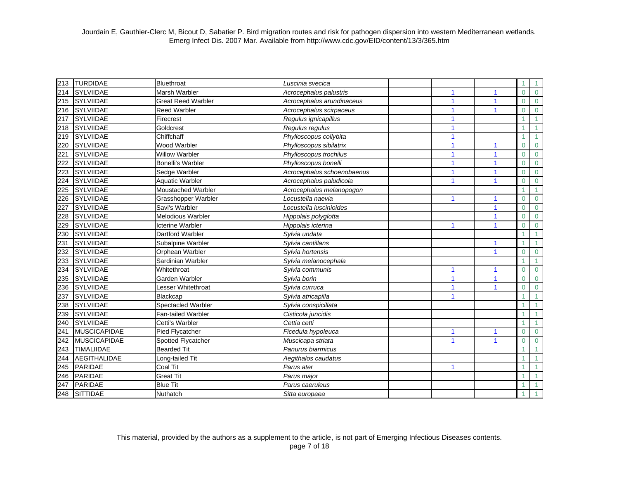| 213 | <b>TURDIDAE</b>     | Bluethroat                | Luscinia svecica           |                      |                         |              |                |
|-----|---------------------|---------------------------|----------------------------|----------------------|-------------------------|--------------|----------------|
| 214 | <b>SYLVIIDAE</b>    | Marsh Warbler             | Acrocephalus palustris     | 1                    | 1                       | $\Omega$     | $\overline{0}$ |
| 215 | <b>SYLVIIDAE</b>    | <b>Great Reed Warbler</b> | Acrocephalus arundinaceus  | 1                    | $\mathbf{1}$            | $\Omega$     | $\mathbf 0$    |
| 216 | <b>SYLVIIDAE</b>    | <b>Reed Warbler</b>       | Acrocephalus scirpaceus    |                      | 1                       | $\Omega$     | $\mathbf 0$    |
| 217 | <b>SYLVIIDAE</b>    | Firecrest                 | Regulus ignicapillus       | $\blacktriangleleft$ |                         |              |                |
| 218 | <b>SYLVIIDAE</b>    | Goldcrest                 | Regulus regulus            |                      |                         |              |                |
| 219 | <b>SYLVIIDAE</b>    | Chiffchaff                | Phylloscopus collybita     | $\blacktriangleleft$ |                         |              |                |
| 220 | <b>SYLVIIDAE</b>    | <b>Wood Warbler</b>       | Phylloscopus sibilatrix    |                      | 1                       | $\Omega$     | $\Omega$       |
| 221 | <b>SYLVIIDAE</b>    | <b>Willow Warbler</b>     | Phylloscopus trochilus     | $\blacktriangleleft$ | $\overline{1}$          | $\Omega$     | $\Omega$       |
| 222 | <b>SYLVIIDAE</b>    | <b>Bonelli's Warbler</b>  | Phylloscopus bonelli       | 1                    |                         | $\Omega$     | $\overline{0}$ |
| 223 | <b>SYLVIIDAE</b>    | Sedge Warbler             | Acrocephalus schoenobaenus | 1                    |                         | $\Omega$     | $\mathbf{0}$   |
| 224 | <b>SYLVIIDAE</b>    | <b>Aquatic Warbler</b>    | Acrocephalus paludicola    | 1                    |                         | $\Omega$     | $\mathbf 0$    |
| 225 | <b>SYLVIIDAE</b>    | <b>Moustached Warbler</b> | Acrocephalus melanopogon   |                      |                         |              |                |
| 226 | <b>SYLVIIDAE</b>    | Grasshopper Warbler       | Locustella naevia          | 1                    | $\mathbf{1}$            | $\Omega$     | $\overline{0}$ |
| 227 | <b>SYLVIIDAE</b>    | Savi's Warbler            | Locustella luscinioides    |                      | $\mathbf{1}$            | $\Omega$     | $\overline{0}$ |
| 228 | <b>SYLVIIDAE</b>    | <b>Melodious Warbler</b>  | Hippolais polyglotta       |                      | $\overline{\mathbf{1}}$ | $\Omega$     | $\overline{0}$ |
| 229 | <b>SYLVIIDAE</b>    | <b>Icterine Warbler</b>   | Hippolais icterina         | 1                    | $\mathbf{1}$            | $\Omega$     | $\mathbf 0$    |
| 230 | <b>SYLVIIDAE</b>    | Dartford Warbler          | Sylvia undata              |                      |                         |              | $\mathbf{1}$   |
| 231 | <b>SYLVIIDAE</b>    | Subalpine Warbler         | Sylvia cantillans          |                      | $\mathbf{1}$            |              |                |
| 232 | <b>SYLVIIDAE</b>    | Orphean Warbler           | Sylvia hortensis           |                      | $\overline{\mathbf{1}}$ | $\Omega$     | $\mathbf 0$    |
| 233 | <b>SYLVIIDAE</b>    | Sardinian Warbler         | Sylvia melanocephala       |                      |                         |              |                |
| 234 | <b>SYLVIIDAE</b>    | Whitethroat               | Sylvia communis            | $\blacktriangleleft$ | $\overline{\mathbf{1}}$ | $\Omega$     | $\Omega$       |
| 235 | <b>SYLVIIDAE</b>    | Garden Warbler            | Sylvia borin               | $\blacktriangleleft$ | $\overline{\mathbf{1}}$ | $\Omega$     | $\Omega$       |
| 236 | <b>SYLVIIDAE</b>    | Lesser Whitethroat        | Sylvia curruca             |                      |                         | $\mathbf{0}$ | $\mathbf 0$    |
| 237 | SYLVIIDAE           | Blackcap                  | Sylvia atricapilla         |                      |                         |              |                |
| 238 | <b>SYLVIIDAE</b>    | Spectacled Warbler        | Sylvia conspicillata       |                      |                         |              |                |
| 239 | <b>SYLVIIDAE</b>    | <b>Fan-tailed Warbler</b> | Cisticola juncidis         |                      |                         |              |                |
| 240 | <b>SYLVIIDAE</b>    | Cetti's Warbler           | Cettia cetti               |                      |                         |              |                |
| 241 | <b>MUSCICAPIDAE</b> | Pied Flycatcher           | Ficedula hypoleuca         | 1                    | $\mathbf{1}$            | $\Omega$     | $\overline{0}$ |
| 242 | <b>MUSCICAPIDAE</b> | Spotted Flycatcher        | Muscicapa striata          | 1                    | $\mathbf{1}$            | $\Omega$     | $\overline{0}$ |
| 243 | <b>TIMALIIDAE</b>   | <b>Bearded Tit</b>        | Panurus biarmicus          |                      |                         |              |                |
| 244 | <b>AEGITHALIDAE</b> | Long-tailed Tit           | Aegithalos caudatus        |                      |                         |              |                |
| 245 | <b>PARIDAE</b>      | Coal Tit                  | Parus ater                 | 1                    |                         |              |                |
| 246 | <b>PARIDAE</b>      | <b>Great Tit</b>          | Parus major                |                      |                         |              |                |
| 247 | <b>PARIDAE</b>      | <b>Blue Tit</b>           | Parus caeruleus            |                      |                         |              |                |
| 248 | <b>SITTIDAE</b>     | Nuthatch                  | Sitta europaea             |                      |                         |              |                |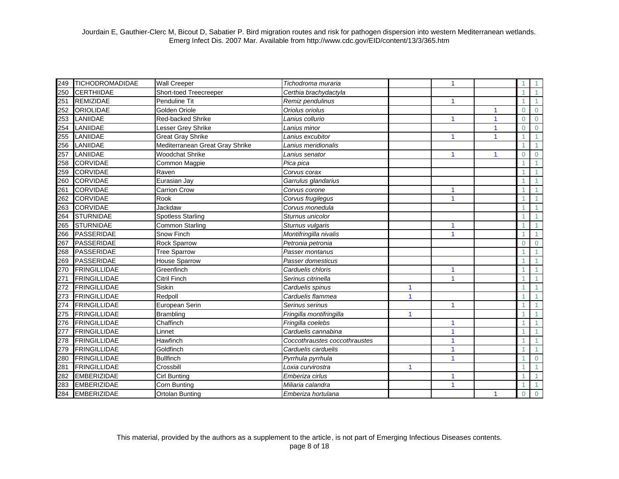| 249 | <b>TICHODROMADIDAE</b> | <b>Wall Creeper</b>             | Tichodroma muraria            |              | 1                    |              |              |                |
|-----|------------------------|---------------------------------|-------------------------------|--------------|----------------------|--------------|--------------|----------------|
| 250 | <b>CERTHIIDAE</b>      | Short-toed Treecreeper          | Certhia brachydactyla         |              |                      |              |              |                |
| 251 | <b>REMIZIDAE</b>       | Penduline Tit                   | Remiz pendulinus              |              | $\blacktriangleleft$ |              |              |                |
| 252 | <b>ORIOLIDAE</b>       | Golden Oriole                   | Oriolus oriolus               |              |                      | 1            | $\Omega$     | $\overline{0}$ |
| 253 | LANIIDAE               | Red-backed Shrike               | Lanius collurio               |              |                      | $\mathbf{1}$ | $\Omega$     | $\mathbf{0}$   |
| 254 | LANIIDAE               | Lesser Grey Shrike              | Lanius minor                  |              |                      | 1            | $\Omega$     | $\Omega$       |
| 255 | LANIIDAE               | <b>Great Gray Shrike</b>        | Lanius excubitor              |              |                      | 1            |              |                |
| 256 | LANIIDAE               | Mediterranean Great Gray Shrike | Lanius meridionalis           |              |                      |              |              |                |
| 257 | LANIIDAE               | <b>Woodchat Shrike</b>          | Lanius senator                |              | 1                    | 1            | $\Omega$     | $\Omega$       |
| 258 | <b>CORVIDAE</b>        | Common Magpie                   | Pica pica                     |              |                      |              |              |                |
| 259 | <b>CORVIDAE</b>        | Raven                           | Corvus corax                  |              |                      |              |              |                |
| 260 | <b>CORVIDAE</b>        | Eurasian Jay                    | Garrulus glandarius           |              |                      |              |              |                |
| 261 | <b>CORVIDAE</b>        | <b>Carrion Crow</b>             | Corvus corone                 |              | 1                    |              |              |                |
| 262 | <b>CORVIDAE</b>        | Rook                            | Corvus frugilegus             |              | $\mathbf{1}$         |              |              |                |
| 263 | <b>CORVIDAE</b>        | Jackdaw                         | Corvus monedula               |              |                      |              |              |                |
| 264 | <b>STURNIDAE</b>       | <b>Spotless Starling</b>        | Sturnus unicolor              |              |                      |              |              |                |
| 265 | <b>STURNIDAE</b>       | <b>Common Starling</b>          | Sturnus vulgaris              |              | 1                    |              |              |                |
| 266 | <b>PASSERIDAE</b>      | Snow Finch                      | Montifringilla nivalis        |              | $\blacktriangleleft$ |              |              |                |
| 267 | <b>PASSERIDAE</b>      | Rock Sparrow                    | Petronia petronia             |              |                      |              | $\Omega$     | $\mathbf 0$    |
| 268 | <b>PASSERIDAE</b>      | <b>Tree Sparrow</b>             | Passer montanus               |              |                      |              |              |                |
| 269 | <b>PASSERIDAE</b>      | <b>House Sparrow</b>            | Passer domesticus             |              |                      |              |              |                |
| 270 | <b>FRINGILLIDAE</b>    | Greenfinch                      | Carduelis chloris             |              | $\blacktriangleleft$ |              |              |                |
| 271 | <b>FRINGILLIDAE</b>    | <b>Citril Finch</b>             | Serinus citrinella            |              |                      |              |              |                |
| 272 | <b>FRINGILLIDAE</b>    | Siskin                          | Carduelis spinus              | 1            |                      |              |              |                |
| 273 | <b>FRINGILLIDAE</b>    | Redpoll                         | Carduelis flammea             | 1            |                      |              |              |                |
| 274 | <b>FRINGILLIDAE</b>    | European Serin                  | Serinus serinus               |              | 1                    |              |              |                |
| 275 | <b>FRINGILLIDAE</b>    | Brambling                       | Fringilla montifringilla      |              |                      |              |              |                |
| 276 | <b>FRINGILLIDAE</b>    | Chaffinch                       | Fringilla coelebs             |              | 1                    |              |              |                |
| 277 | <b>FRINGILLIDAE</b>    | Linnet                          | Carduelis cannabina           |              | 1                    |              |              |                |
| 278 | <b>FRINGILLIDAE</b>    | Hawfinch                        | Coccothraustes coccothraustes |              | 1                    |              |              |                |
| 279 | <b>FRINGILLIDAE</b>    | Goldfinch                       | Carduelis carduelis           |              | 1                    |              |              |                |
| 280 | <b>FRINGILLIDAE</b>    | <b>Bullfinch</b>                | Pyrrhula pyrrhula             |              | 1                    |              |              | $\overline{0}$ |
| 281 | <b>FRINGILLIDAE</b>    | Crossbill                       | Loxia curvirostra             | $\mathbf{1}$ |                      |              |              |                |
| 282 | <b>EMBERIZIDAE</b>     | <b>Cirl Bunting</b>             | Emberiza cirlus               |              | 1                    |              |              |                |
| 283 | <b>EMBERIZIDAE</b>     | Corn Bunting                    | Miliaria calandra             |              | 1                    |              |              |                |
| 284 | <b>EMBERIZIDAE</b>     | <b>Ortolan Bunting</b>          | Emberiza hortulana            |              |                      | $\mathbf{1}$ | $\mathbf{0}$ | $\Omega$       |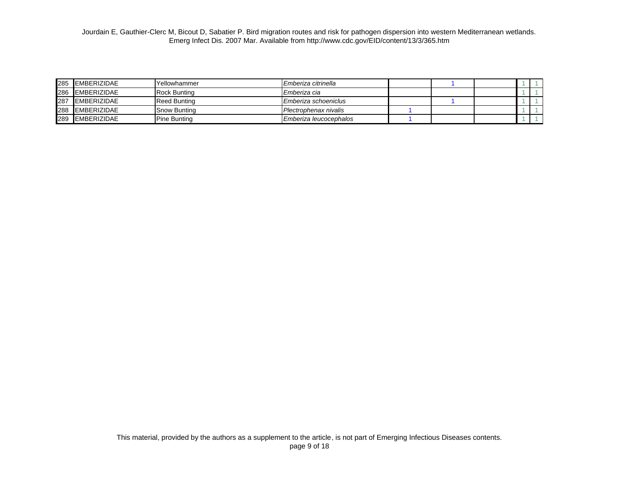| 285 EMBERIZIDAE | <b>Yellowhammer</b>  | Emberiza citrinella    |  |  |  |
|-----------------|----------------------|------------------------|--|--|--|
| 286 EMBERIZIDAE | <b>Rock Bunting</b>  | Emberiza cia           |  |  |  |
| 287 EMBERIZIDAE | Reed Bunting         | Emberiza schoeniclus   |  |  |  |
| 288 EMBERIZIDAE | <b>S</b> how Bunting | Plectrophenax nivalis  |  |  |  |
| 289 EMBERIZIDAE | <b>IPine Bunting</b> | Emberiza leucocephalos |  |  |  |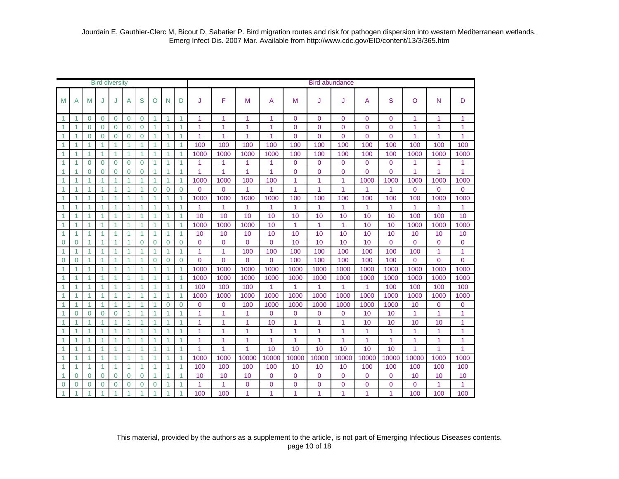|                      | <b>Bird diversity</b> |                      |                      |                |                |                      |              |                |                      | <b>Bird abundance</b> |                |                |                |                |                |                |                |                |                |                |              |  |
|----------------------|-----------------------|----------------------|----------------------|----------------|----------------|----------------------|--------------|----------------|----------------------|-----------------------|----------------|----------------|----------------|----------------|----------------|----------------|----------------|----------------|----------------|----------------|--------------|--|
| M                    | А                     | М                    | J                    |                | A              | S                    | O            | N              | D                    | J                     | F              | M              | A              | M              | J              | J              | A              | S              | O              | N              | D            |  |
| 1                    |                       | $\mathbf{0}$         | $\overline{0}$       | $\overline{0}$ | 0              | $\mathbf 0$          | 1            | 1              | $\blacktriangleleft$ | 1                     | 1              | 1              | 1              | $\Omega$       | $\overline{0}$ | $\Omega$       | $\overline{0}$ | $\overline{0}$ | 1              | 1              | 1            |  |
| -1                   |                       | $\Omega$             | $\overline{0}$       | $\Omega$       | $\mathbf 0$    | $\Omega$             |              | 1              | $\overline{1}$       | 1                     | 1              | 1              | 1              | $\mathbf{0}$   | $\overline{0}$ | $\mathbf{0}$   | $\overline{0}$ | $\overline{0}$ | 1              | 1              | 1            |  |
| $\mathbf{1}$         |                       | $\Omega$             | $\Omega$             | $\Omega$       | $\mathbf 0$    | $\Omega$             |              | 1              | $\overline{1}$       | 1                     | 1              | 1              | 1              | $\Omega$       | 0              | $\Omega$       | $\overline{0}$ | $\Omega$       | 1              | 1              | 1            |  |
| 1                    |                       | $\blacktriangleleft$ | 1                    |                | $\mathbf{1}$   | $\overline{1}$       |              | 1              | $\overline{1}$       | 100                   | 100            | 100            | 100            | 100            | 100            | 100            | 100            | 100            | 100            | 100            | 100          |  |
| $\blacktriangleleft$ | 1                     | $\mathbf{1}$         | $\blacktriangleleft$ | $\mathbf{1}$   | $\mathbf{1}$   | $\overline{1}$       | 1            | 1              | $\mathbf{1}$         | 1000                  | 1000           | 1000           | 1000           | 100            | 100            | 100            | 100            | 100            | 1000           | 1000           | 1000         |  |
| $\blacktriangleleft$ | 1                     | $\Omega$             | $\Omega$             | $\Omega$       | $\mathbf{0}$   | $\Omega$             | 1            | 1              | $\mathbf{1}$         | 1                     | 1              | 1              | $\mathbf{1}$   | $\Omega$       | $\Omega$       | $\Omega$       | $\Omega$       | $\Omega$       | 1              | 1              | 1            |  |
| 1                    | $\overline{ }$        | $\Omega$             | $\overline{0}$       | $\Omega$       | $\overline{0}$ | $\Omega$             | 1            | 1              | 1                    | 1                     | 1              | 1              | 1              | $\Omega$       | $\overline{0}$ | $\overline{0}$ | $\overline{0}$ | $\overline{0}$ | 1              | 1              | 1            |  |
| 1                    | 1                     | $\blacktriangleleft$ | 1                    | 1              | 1              | 1                    | 1            | 1              | 1                    | 1000                  | 1000           | 100            | 100            | 1              | $\mathbf{1}$   | 1              | 1000           | 1000           | 1000           | 1000           | 1000         |  |
|                      | 1                     | 1                    | 1                    | 1              | 1              | 1                    | $\Omega$     | $\Omega$       | $\Omega$             | $\Omega$              | $\overline{0}$ | 1              | 1              | 1              | 1              | 1              | 1              | 1              | $\Omega$       | $\Omega$       | $\Omega$     |  |
| $\overline{1}$       | 4                     | 1                    | $\overline{1}$       | 1              | $\overline{1}$ | $\overline{1}$       | 4            | 1              | $\overline{1}$       | 1000                  | 1000           | 1000           | 1000           | 100            | 100            | 100            | 100            | 100            | 100            | 1000           | 1000         |  |
| $\overline{1}$       | 1                     | $\blacktriangleleft$ | 1                    | 1              | 1              | 1                    | 1            | 1              | $\mathbf{1}$         | $\overline{1}$        | 1              | 1              | $\mathbf{1}$   | 1              | 1              | 1              | 1              | 1              | 1              | 1              | $\mathbf{1}$ |  |
| $\mathbf 1$          | 1                     | $\blacktriangleleft$ | $\overline{1}$       | 1              | $\mathbf{1}$   | $\overline{1}$       | 1            | 1              | $\mathbf{1}$         | 10                    | 10             | 10             | 10             | 10             | 10             | 10             | 10             | 10             | 100            | 100            | 10           |  |
| $\blacktriangleleft$ | 1                     | $\mathbf{1}$         | $\overline{1}$       | 1              | $\mathbf{1}$   | $\overline{1}$       | 1            | $\mathbf{1}$   | $\mathbf{1}$         | 1000                  | 1000           | 1000           | 10             | 1              | $\mathbf{1}$   | 1              | 10             | 10             | 1000           | 1000           | 1000         |  |
| $\overline{1}$       | 1                     | $\blacktriangleleft$ | $\overline{1}$       | 1              | $\overline{1}$ | $\overline{1}$       | 1            | 1              | $\overline{1}$       | 10                    | 10             | 10             | 10             | 10             | 10             | 10             | 10             | 10             | 10             | 10             | 10           |  |
| $\Omega$             | $\Omega$              | $\mathbf{1}$         | $\overline{1}$       | $\mathbf{1}$   | $\mathbf{1}$   | $\Omega$             | $\Omega$     | $\Omega$       | $\Omega$             | $\Omega$              | $\Omega$       | $\Omega$       | $\Omega$       | 10             | 10             | 10             | 10             | $\Omega$       | $\Omega$       | $\Omega$       | $\Omega$     |  |
| $\blacktriangleleft$ | $\mathbf{1}$          | $\mathbf{1}$         | $\overline{1}$       | $\mathbf{1}$   | $\mathbf{1}$   | $\overline{1}$       | $\mathbf{1}$ | 1              | $\mathbf{1}$         | 1                     | $\mathbf{1}$   | 100            | 100            | 100            | 100            | 100            | 100            | 100            | 100            | 1              | $\mathbf{1}$ |  |
| $\overline{0}$       | $\Omega$              | $\mathbf{1}$         | $\overline{1}$       | 1              | $\mathbf{1}$   | $\overline{1}$       | $\Omega$     | $\Omega$       | $\Omega$             | $\Omega$              | $\Omega$       | $\Omega$       | $\Omega$       | 100            | 100            | 100            | 100            | 100            | $\Omega$       | $\Omega$       | $\Omega$     |  |
|                      |                       | 1                    | 1                    |                | 1              | $\overline{1}$       |              | 1              | $\overline{1}$       | 1000                  | 1000           | 1000           | 1000           | 1000           | 1000           | 1000           | 1000           | 1000           | 1000           | 1000           | 1000         |  |
| 1                    |                       | 1                    | $\overline{1}$       |                | 1              | $\overline{1}$       |              | 1              | $\overline{1}$       | 1000                  | 1000           | 1000           | 1000           | 1000           | 1000           | 1000           | 1000           | 1000           | 1000           | 1000           | 1000         |  |
| -1                   |                       | $\blacktriangleleft$ | $\overline{1}$       | 1              | $\mathbf{1}$   | $\blacktriangleleft$ |              | 1              | $\mathbf{1}$         | 100                   | 100            | 100            | 1              | 1              | 1              | 1              | $\overline{1}$ | 100            | 100            | 100            | 100          |  |
| $\mathbf 1$          | 1                     | $\mathbf{1}$         | $\overline{1}$       | 1              | $\mathbf{1}$   | $\overline{1}$       |              | 1              | $\mathbf{1}$         | 1000                  | 1000           | 1000           | 1000           | 1000           | 1000           | 1000           | 1000           | 1000           | 1000           | 1000           | 1000         |  |
| 1                    | 1                     | $\mathbf{1}$         | $\overline{1}$       | 1              | $\mathbf{1}$   | $\overline{1}$       |              | $\Omega$       | $\overline{0}$       | $\Omega$              | 0              | 100            | 1000           | 1000           | 1000           | 1000           | 1000           | 1000           | 10             | $\overline{0}$ | $\mathbf 0$  |  |
| 1                    | $\Omega$              | $\Omega$             | $\Omega$             | $\Omega$       | 1              | $\overline{1}$       |              | 1              | 1                    | 1                     | $\overline{1}$ | 1              | $\Omega$       | $\Omega$       | $\overline{0}$ | $\Omega$       | 10             | 10             | 1              | 1              | 1            |  |
| -1                   | 1                     | $\blacktriangleleft$ | $\overline{1}$       | 1              | $\mathbf{1}$   | $\overline{1}$       | 1            | 1              | $\mathbf{1}$         | 1                     | 1              | 1              | 10             | 1              | 1              | 1              | 10             | 10             | 10             | 10             | $\mathbf{1}$ |  |
| 1                    | 1                     | $\mathbf{1}$         | $\mathbf{1}$         | $\mathbf{1}$   | $\mathbf{1}$   | $\overline{1}$       | 1            | 1              | $\mathbf{1}$         | 1                     | 1              | 1              | 1              | 1              | $\mathbf{1}$   | 1              | 1              | 1              | 1              | 1              | $\mathbf{1}$ |  |
| 1                    | 1                     | 1                    | 1                    | 1              | 1              | 1                    | 1            | 1              | 1                    | 1                     | 1              | 1              | 1              | 1              | $\mathbf{1}$   | 1              | 1              | 1              | 1              | 1              | 1            |  |
|                      | 1                     | 1                    | 1                    | 1              | 1              | $\overline{1}$       | 1            | 1              | 1                    | 1                     | 1              | 1              | 10             | 10             | 10             | 10             | 10             | 10             | 1              | 1              | 1            |  |
| $\overline{1}$       | 4                     | 1                    | $\overline{1}$       | 1              | $\overline{1}$ | $\overline{1}$       |              | $\overline{1}$ | $\overline{1}$       | 1000                  | 1000           | 10000          | 10000          | 10000          | 10000          | 10000          | 10000          | 10000          | 10000          | 1000           | 1000         |  |
| -1                   | 1                     | $\mathbf{1}$         | $\overline{1}$       | 1              | $\mathbf{1}$   | $\overline{1}$       | 1            | 1              | $\mathbf{1}$         | 100                   | 100            | 100            | 100            | 10             | 10             | 10             | 100            | 100            | 100            | 100            | 100          |  |
| 1                    | $\overline{0}$        | $\mathbf 0$          | $\overline{0}$       | $\overline{0}$ | $\mathbf 0$    | $\mathbf 0$          | 1            | 1              | $\overline{1}$       | 10                    | 10             | 10             | $\overline{0}$ | $\mathbf{0}$   | $\overline{0}$ | $\mathbf{0}$   | $\overline{0}$ | $\overline{0}$ | 10             | 10             | 10           |  |
| $\Omega$             | $\Omega$              | $\Omega$             | $\overline{0}$       | $\Omega$       | $\overline{0}$ | $\Omega$             | $\Omega$     | 1              | 1                    | 1                     | 1              | $\overline{0}$ | $\overline{0}$ | $\overline{0}$ | $\overline{0}$ | $\overline{0}$ | $\overline{0}$ | $\overline{0}$ | $\overline{0}$ | 1              | 1            |  |
| 1                    | 1                     | 1                    | $\overline{1}$       | $\overline{1}$ | 1              | $\overline{1}$       |              | 1              | $\overline{1}$       | 100                   | 100            | 1              | 1              | 1              | 1              | 1              | 1              | 1              | 100            | 100            | 100          |  |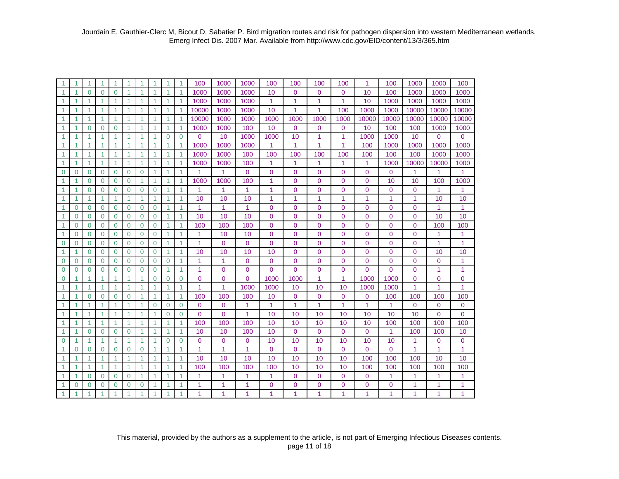| $\blacktriangleleft$ | 1              |                | 1                    | 1              |              | 1              | 1              |          | 1              | 100            | 1000           | 1000           | 100            | 100            | 100            | 100            | $\mathbf{1}$   | 100            | 1000           | 1000           | 100            |
|----------------------|----------------|----------------|----------------------|----------------|--------------|----------------|----------------|----------|----------------|----------------|----------------|----------------|----------------|----------------|----------------|----------------|----------------|----------------|----------------|----------------|----------------|
| $\mathbf{1}$         | 1              | $\Omega$       | $\Omega$             | $\Omega$       | 1            | 1              | $\overline{1}$ | 1        | $\mathbf{1}$   | 1000           | 1000           | 1000           | 10             | $\Omega$       | $\Omega$       | $\Omega$       | 10             | 100            | 1000           | 1000           | 1000           |
| $\blacktriangleleft$ | 1              |                | 1                    | 1              | 1            | 1              | 1              | 1        | $\mathbf{1}$   | 1000           | 1000           | 1000           | 1              | 1              | 1              | 1              | 10             | 1000           | 1000           | 1000           | 1000           |
| $\mathbf{1}$         | 1              |                | 1                    | $\overline{1}$ | 1            | 1              | 1              | 1        | $\mathbf{1}$   | 10000          | 1000           | 1000           | 10             | 1              | 1              | 100            | 1000           | 1000           | 10000          | 10000          | 10000          |
| $\mathbf{1}$         | 1              | 1              | $\mathbf{1}$         | $\overline{1}$ | 1            | $\mathbf{1}$   | 1              | 1        | 1              | 10000          | 1000           | 1000           | 1000           | 1000           | 1000           | 1000           | 10000          | 10000          | 10000          | 10000          | 10000          |
| $\blacktriangleleft$ | 1              | $\Omega$       | $\mathbf 0$          | $\Omega$       | 1            | 1              | $\mathbf{1}$   | 1        | 1              | 1000           | 1000           | 100            | 10             | $\mathbf 0$    | $\mathbf 0$    | 0              | 10             | 100            | 100            | 1000           | 1000           |
| $\mathbf{1}$         | 1              | 1              | $\mathbf{1}$         | 1              | 1            | $\mathbf{1}$   | 1              | 0        | $\mathbf 0$    | $\overline{0}$ | 10             | 1000           | 1000           | 10             | 1              | 1              | 1000           | 1000           | 10             | $\mathbf{0}$   | $\overline{0}$ |
| $\mathbf{1}$         | 1              |                | $\blacktriangleleft$ | 1              | 1            | $\mathbf{1}$   | 1              | 1        | 1              | 1000           | 1000           | 1000           | 1              | 1              | 1              | 1              | 100            | 1000           | 1000           | 1000           | 1000           |
| $\mathbf{1}$         | 1              | $\mathbf{1}$   | $\mathbf{1}$         | 1              | 1            | $\mathbf{1}$   | 1              | 1        | 1              | 1000           | 1000           | 100            | 100            | 100            | 100            | 100            | 100            | 100            | 100            | 1000           | 1000           |
| -1                   | 1              | 1              | -1                   | $\mathbf{1}$   | $\mathbf{1}$ | $\mathbf{1}$   | 1              | 1        | 1              | 1000           | 1000           | 100            | 1              | 1              | 1              | 1              | 1              | 1000           | 10000          | 10000          | 1000           |
| $\Omega$             | $\overline{0}$ | $\Omega$       | $\Omega$             | $\Omega$       | $\Omega$     | $\Omega$       | 1              | 1        | $\mathbf{1}$   | 1              | 1              | 0              | $\mathbf{0}$   | $\overline{0}$ | $\Omega$       | $\Omega$       | $\Omega$       | $\Omega$       | 1              | 1              | 1              |
| $\mathbf{1}$         | 1              | $\Omega$       | $\Omega$             | $\Omega$       | $\Omega$     | 1              | 1              | 1        | $\mathbf{1}$   | 1000           | 1000           | 100            | 1              | $\overline{0}$ | $\mathbf{0}$   | 0              | $\overline{0}$ | 10             | 10             | 100            | 1000           |
| $\mathbf{1}$         | 1              | $\Omega$       | $\Omega$             | $\Omega$       | $\Omega$     | $\overline{0}$ | $\overline{0}$ | 1        | $\mathbf{1}$   | $\overline{1}$ | $\overline{1}$ | 1              | 1              | $\overline{0}$ | $\overline{0}$ | $\overline{0}$ | $\overline{0}$ | $\overline{0}$ | $\overline{0}$ | $\mathbf{1}$   | $\mathbf{1}$   |
| $\blacktriangleleft$ | 1              | 1              | $\mathbf{1}$         | $\overline{1}$ | 1.           | $\mathbf{1}$   | 1              | 1        | 1              | 10             | 10             | 10             | 1              | 1              | 1              | 1              | $\mathbf{1}$   | 1              | 1              | 10             | 10             |
| $\blacktriangleleft$ | $\Omega$       | $\Omega$       | $\Omega$             | $\Omega$       | $\mathbf 0$  | $\Omega$       | $\Omega$       | 1        | 1              | $\mathbf{1}$   | $\overline{1}$ | 1              | $\mathbf{0}$   | $\overline{0}$ | $\Omega$       | $\Omega$       | $\Omega$       | $\overline{0}$ | $\mathbf{0}$   | $\mathbf{1}$   | 1              |
| $\mathbf{1}$         | $\overline{0}$ | $\mathbf{0}$   | $\mathbf 0$          | $\Omega$       | $\mathbf{0}$ | $\overline{0}$ | $\overline{0}$ | 1        | 1              | 10             | 10             | 10             | $\mathbf{0}$   | $\overline{0}$ | $\mathbf{0}$   | $\overline{0}$ | $\overline{0}$ | $\overline{0}$ | $\mathbf{0}$   | 10             | 10             |
| $\blacktriangleleft$ | $\Omega$       | $\Omega$       | $\Omega$             | $\Omega$       | $\Omega$     | $\overline{0}$ | $\overline{0}$ | 1        | $\mathbf{1}$   | 100            | 100            | 100            | $\overline{0}$ | $\overline{0}$ | $\Omega$       | $\overline{0}$ | $\overline{0}$ | $\overline{0}$ | $\overline{0}$ | 100            | 100            |
| $\blacktriangleleft$ | $\Omega$       | $\Omega$       | $\Omega$             | $\Omega$       | $\Omega$     | $\overline{0}$ | $\Omega$       | 1        | $\mathbf{1}$   | $\overline{1}$ | 10             | 10             | $\mathbf 0$    | $\overline{0}$ | $\Omega$       | $\mathbf{0}$   | $\overline{0}$ | $\overline{0}$ | $\mathbf{0}$   | $\mathbf{1}$   | 1              |
| $\Omega$             | $\Omega$       | $\Omega$       | $\Omega$             | $\Omega$       | $\Omega$     | $\Omega$       | $\overline{0}$ | 1        | 1              | $\mathbf{1}$   | $\Omega$       | $\overline{0}$ | $\mathbf 0$    | $\overline{0}$ | $\Omega$       | $\mathbf 0$    | $\Omega$       | $\overline{0}$ | $\Omega$       | $\mathbf{1}$   | 1              |
| $\mathbf{1}$         | 1              | $\Omega$       | $\Omega$             | $\Omega$       | $\Omega$     | $\Omega$       | $\overline{0}$ | 1        | $\overline{1}$ | 10             | 10             | 10             | 10             | $\overline{0}$ | $\Omega$       | $\overline{0}$ | $\overline{0}$ | $\overline{0}$ | $\Omega$       | 10             | 10             |
| $\mathbf 0$          | $\overline{0}$ | $\mathbf 0$    | $\overline{0}$       | $\Omega$       | $\Omega$     | $\overline{0}$ | $\overline{0}$ | $\Omega$ | $\overline{1}$ | $\overline{1}$ | $\overline{1}$ | $\mathbf 0$    | 0              | $\overline{0}$ | $\overline{0}$ | $\overline{0}$ | $\overline{0}$ | $\overline{0}$ | $\mathbf 0$    | $\mathbf 0$    | $\mathbf{1}$   |
| $\mathbf 0$          | $\overline{0}$ | $\overline{0}$ | $\mathbf 0$          | $\Omega$       | $\Omega$     | $\mathbf 0$    | $\overline{0}$ | 1        | 1              | 1              | $\overline{0}$ | $\mathbf{0}$   | $\overline{0}$ | $\overline{0}$ | $\overline{0}$ | $\overline{0}$ | $\mathbf 0$    | $\overline{0}$ | $\overline{0}$ | $\mathbf{1}$   | 1              |
| $\mathbf 0$          | 1              | 1              | $\mathbf{1}$         | 1              | 1            | $\mathbf{1}$   | $\Omega$       | $\Omega$ | $\mathbf 0$    | $\overline{0}$ | $\Omega$       | $\overline{0}$ | 1000           | 1000           | 1              | 1              | 1000           | 1000           | $\mathbf{0}$   | 0              | $\mathbf 0$    |
| -1                   | 1              |                | $\blacktriangleleft$ | $\mathbf{1}$   | 1            | 1              | 1              | 1        | 1              | 1              | 1              | 1000           | 1000           | 10             | 10             | 10             | 1000           | 1000           | 1              | 1              | 1              |
| 1                    | 1              | $\Omega$       | $\mathbf 0$          | $\Omega$       | $\mathbf 0$  | 1              | 1              | 1        | $\mathbf{1}$   | 100            | 100            | 100            | 10             | $\mathbf{0}$   | $\mathbf 0$    | 0              | $\mathbf{0}$   | 100            | 100            | 100            | 100            |
| 1                    | 1              | 1              | $\mathbf{1}$         | 1              | 1            | 1              | $\overline{0}$ | $\Omega$ | $\mathbf 0$    | $\overline{0}$ | $\mathbf 0$    | 1              | 1              | 1              | 1              | 1              | $\mathbf{1}$   | 1              | $\mathbf 0$    | $\mathbf 0$    | $\mathbf 0$    |
| $\overline{1}$       | 1              | 1              | $\mathbf{1}$         | 1              | 1            | 1              | 1              | $\Omega$ | $\Omega$       | $\Omega$       | $\Omega$       | 1              | 10             | 10             | 10             | 10             | 10             | 10             | 10             | $\mathbf{0}$   | 0              |
| $\overline{1}$       | 1              | 1              | 1                    | $\mathbf{1}$   | 1            | 1              | 1              | 1        | $\mathbf{1}$   | 100            | 100            | 100            | 10             | 10             | 10             | 10             | 10             | 100            | 100            | 100            | 100            |
| $\blacktriangleleft$ | 1              | $\Omega$       | $\Omega$             | $\Omega$       | $\Omega$     | $\mathbf{1}$   | $\overline{1}$ | 1        | 1              | 10             | 10             | 100            | 10             | $\Omega$       | $\Omega$       | $\overline{0}$ | $\Omega$       | $\overline{1}$ | 100            | 100            | 10             |
| $\mathbf 0$          | 1              | 1              | $\mathbf{1}$         | $\mathbf{1}$   | 1            | $\mathbf{1}$   | 1              | 0        | $\mathbf 0$    | $\mathbf{0}$   | $\mathbf{0}$   | 0              | 10             | 10             | 10             | 10             | 10             | 10             | 1              | $\mathbf 0$    | $\mathbf 0$    |
| $\mathbf{1}$         | $\overline{0}$ | $\Omega$       | $\Omega$             | $\Omega$       | $\mathbf 0$  | $\Omega$       | $\overline{1}$ | 1        | $\overline{1}$ | 1              | 1              | 1              | $\mathbf 0$    | $\Omega$       | $\Omega$       | $\overline{0}$ | $\Omega$       | $\overline{0}$ | 1              | 1              | $\mathbf{1}$   |
| $\blacktriangleleft$ | 1              | 1              | $\blacktriangleleft$ | $\overline{1}$ | 1            | 1              | $\overline{1}$ | 1        | 1              | 10             | 10             | 10             | 10             | 10             | 10             | 10             | 100            | 100            | 100            | 10             | 10             |
| $\blacktriangleleft$ | $\overline{1}$ | $\mathbf{1}$   | $\mathbf{1}$         | $\overline{1}$ | $\mathbf{1}$ | $\mathbf{1}$   | $\overline{1}$ | 1        | $\mathbf{1}$   | 100            | 100            | 100            | 100            | 10             | 10             | 10             | 100            | 100            | 100            | 100            | 100            |
| $\blacktriangleleft$ | 1              | $\Omega$       | $\mathbf 0$          | $\Omega$       | $\Omega$     | $\mathbf{1}$   | $\mathbf{1}$   | 1        | $\mathbf{1}$   | 1              | 1              | 1              | 1              | $\mathbf{0}$   | $\overline{0}$ | $\mathbf 0$    | $\mathbf 0$    | 1              | 1              | 1              | 1              |
| 1                    | $\overline{0}$ | $\Omega$       | $\overline{0}$       | 0              | 0            | $\overline{0}$ |                |          |                | 1              | 1              | 1              | 0              | 0              | 0              | 0              | $\overline{0}$ | 0              | 1              | $\overline{1}$ | 1              |
| $\overline{1}$       | 1              |                | 1                    | 1              |              | 1              | 1              |          | 1              | 1              | 1              | 1              | 1              | 1              | 1              | 1              | 1              | 1              | 1              | 1              | 1              |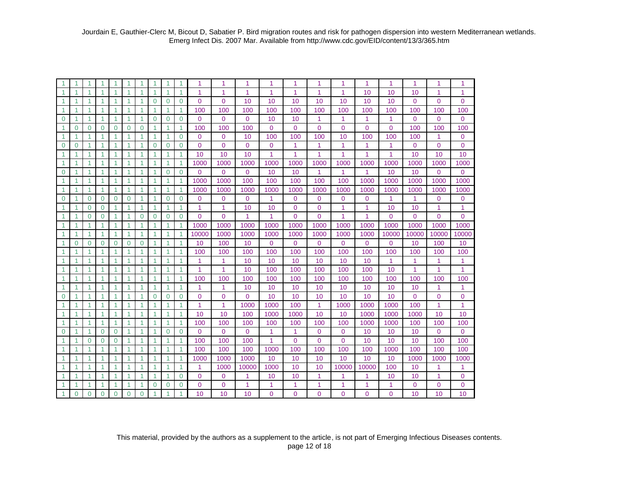| 1                    | 1              | 1              | 1.           | 1                    | 1              | 1              | 1                    |          | $\mathbf{1}$ | 1              | 1           | 1            | 1            | 1              | 1            | 1           | 1           | 1              | 1        | 1              | 1              |
|----------------------|----------------|----------------|--------------|----------------------|----------------|----------------|----------------------|----------|--------------|----------------|-------------|--------------|--------------|----------------|--------------|-------------|-------------|----------------|----------|----------------|----------------|
| 1                    |                |                | 1            | 1                    | 1              | 1              | 1                    |          | 1            | 1              | 1           | 1            | 1            | 1              | 1            | 1           | 10          | 10             | 10       | 1              | 1              |
| $\blacktriangleleft$ | 1              |                | 1            | $\overline{1}$       | 1              | 1              | $\Omega$             | $\Omega$ | $\Omega$     | $\Omega$       | $\Omega$    | 10           | 10           | 10             | 10           | 10          | 10          | 10             | $\Omega$ | $\overline{0}$ | $\Omega$       |
| $\mathbf{1}$         | -1             | 1              | 1            | $\overline{1}$       | 1              | 1              | -1                   | 1        | 1            | 100            | 100         | 100          | 100          | 100            | 100          | 100         | 100         | 100            | 100      | 100            | 100            |
| $\mathbf 0$          | $\mathbf 1$    | 1              | $\mathbf{1}$ | $\overline{1}$       | 1              | $\mathbf{1}$   | $\mathbf 0$          | 0        | $\mathbf 0$  | $\mathbf{0}$   | $\mathbf 0$ | $\mathbf{0}$ | 10           | 10             | 1            | 1           | 1           | 1              | $\Omega$ | 0              | $\mathbf 0$    |
| 1                    | $\Omega$       | $\Omega$       | $\Omega$     | $\Omega$             | $\mathbf 0$    | $\mathbf 0$    | 1                    | 1        | 1            | 100            | 100         | 100          | $\mathbf 0$  | $\mathbf 0$    | $\Omega$     | $\Omega$    | $\Omega$    | $\Omega$       | 100      | 100            | 100            |
| 1                    | -1             | 1              | 1            | 1                    | 1              | $\mathbf{1}$   | -1                   | 1        | $\Omega$     | $\Omega$       | $\Omega$    | 10           | 100          | 100            | 100          | 10          | 100         | 100            | 100      | 1              | $\Omega$       |
| $\mathbf 0$          | $\overline{0}$ | $\mathbf{1}$   | $\mathbf{1}$ | $\blacktriangleleft$ | 1              | $\mathbf{1}$   | $\overline{0}$       | $\Omega$ | $\mathbf 0$  | $\Omega$       | $\Omega$    | $\Omega$     | $\mathbf 0$  | 1              | 1            | 1           | 1           | 1              | $\Omega$ | 0              | $\mathbf 0$    |
| $\mathbf{1}$         | 1              | $\mathbf{1}$   | 1            | $\blacktriangleleft$ | 1              | $\mathbf{1}$   | 1                    | 1        | 1            | 10             | 10          | 10           | 1            | 1              | 1            | 1           | 1           | 1              | 10       | 10             | 10             |
| 1                    | 1              | 1              | 1            | -1                   | 1              | $\mathbf{1}$   | 1                    | 1        | 1            | 1000           | 1000        | 1000         | 1000         | 1000           | 1000         | 1000        | 1000        | 1000           | 1000     | 1000           | 1000           |
| $\Omega$             | 1              | 1              | 1            | -1                   | 1              | 1              | 1                    | $\Omega$ | $\Omega$     | $\Omega$       | $\Omega$    | 0            | 10           | 10             | 1            | 1           | 1           | 10             | 10       | 0              | 0              |
| 1                    | 1              | 1              | 1            | $\overline{1}$       | 1              | 1              | $\overline{1}$       | 1        | $\mathbf{1}$ | 1000           | 1000        | 100          | 100          | 100            | 100          | 100         | 1000        | 1000           | 1000     | 1000           | 1000           |
| $\blacktriangleleft$ | -1             | $\mathbf{1}$   | $\mathbf{1}$ | $\blacktriangleleft$ | 1              | 1              | $\overline{1}$       | 1        | $\mathbf{1}$ | 1000           | 1000        | 1000         | 1000         | 1000           | 1000         | 1000        | 1000        | 1000           | 1000     | 1000           | 1000           |
| $\mathbf 0$          | $\mathbf{1}$   | $\mathbf{0}$   | $\Omega$     | $\mathbf 0$          | $\mathbf 0$    | $\mathbf{1}$   | $\overline{1}$       | 0        | $\mathbf 0$  | $\mathbf 0$    | $\mathbf 0$ | 0            | 1            | $\mathbf{0}$   | $\mathbf{0}$ | $\mathbf 0$ | $\mathbf 0$ | 1              | 1        | 0              | $\mathbf{0}$   |
| $\blacktriangleleft$ | $\overline{1}$ | $\Omega$       | $\Omega$     | -1                   | 1              | $\mathbf{1}$   | $\blacktriangleleft$ | 1        | 1            | 1              | 1           | 10           | 10           | $\Omega$       | $\Omega$     | 1           | 1           | 10             | 10       | 1              | 1              |
| $\blacktriangleleft$ | -1             | $\Omega$       | $\Omega$     | -1                   | 1              | $\Omega$       | $\Omega$             | $\Omega$ | $\Omega$     | $\Omega$       | $\Omega$    | 1            | 1            | $\overline{0}$ | $\Omega$     | 1           | 1           | $\Omega$       | $\Omega$ | $\Omega$       | $\Omega$       |
| $\blacktriangleleft$ | $\overline{1}$ | 1              | $\mathbf{1}$ | $\overline{1}$       | $\mathbf{1}$   | $\mathbf{1}$   | $\blacktriangleleft$ | 1        | $\mathbf{1}$ | 1000           | 1000        | 1000         | 1000         | 1000           | 1000         | 1000        | 1000        | 1000           | 1000     | 1000           | 1000           |
| $\blacktriangleleft$ | $\overline{1}$ | $\mathbf{1}$   | $\mathbf{1}$ | $\blacktriangleleft$ | $\mathbf{1}$   | $\mathbf{1}$   | $\overline{1}$       | 1        | $\mathbf{1}$ | 10000          | 1000        | 1000         | 1000         | 1000           | 1000         | 1000        | 1000        | 10000          | 10000    | 10000          | 10000          |
| 1                    | $\Omega$       | 0              | $\Omega$     | $\Omega$             | $\Omega$       | $\Omega$       | -1                   | 1        | $\mathbf{1}$ | 10             | 100         | 10           | $\Omega$     | $\Omega$       | $\Omega$     | 0           | $\Omega$    | $\Omega$       | 10       | 100            | 10             |
| 1                    |                | 1              | 1            | 1                    | 1              | 1              | 1                    |          | $\mathbf{1}$ | 100            | 100         | 100          | 100          | 100            | 100          | 100         | 100         | 100            | 100      | 100            | 100            |
| 1                    | 1              | 1              | 1            | $\overline{1}$       | 1              | $\mathbf{1}$   | 1                    |          | $\mathbf{1}$ | 1              | 1           | 10           | 10           | 10             | 10           | 10          | 10          | 1              | 1        | 1              | 1              |
| $\blacktriangleleft$ | 1              | 1              | 1            | $\overline{1}$       | 1              | 1              | -1                   | 1        | 1            | $\overline{1}$ | 1           | 10           | 100          | 100            | 100          | 100         | 100         | 10             | 1        | 1              | 1              |
| $\blacktriangleleft$ | -1             | 1              | 1            | $\overline{1}$       | 1              | 1              | -1                   | 1        | $\mathbf{1}$ | 100            | 100         | 100          | 100          | 100            | 100          | 100         | 100         | 100            | 100      | 100            | 100            |
| $\mathbf{1}$         | -1             | 1              | 1            | -1                   | 1              | $\mathbf{1}$   | $\mathbf{1}$         | 1        | 1            | 1              | 1           | 10           | 10           | 10             | 10           | 10          | 10          | 10             | 10       | 1              | 1              |
| $\Omega$             | 1              | 1              | 1            | -1                   | 1              | 1              | $\Omega$             | $\Omega$ | $\Omega$     | $\Omega$       | $\Omega$    | $\Omega$     | 10           | 10             | 10           | 10          | 10          | 10             | 0        | 0              | $\mathbf 0$    |
| $\mathbf{1}$         | 1              | 1              | 1            | -1                   | 1              | $\mathbf{1}$   | 1                    | 1        | $\mathbf{1}$ | 1              | 1           | 1000         | 1000         | 100            | $\mathbf{1}$ | 1000        | 1000        | 1000           | 100      | 1              | 1              |
| 1                    | 1              | 1              | $\mathbf{1}$ | $\overline{1}$       | 1              | $\mathbf{1}$   | 1                    | 1        | $\mathbf{1}$ | 10             | 10          | 100          | 1000         | 1000           | 10           | 10          | 1000        | 1000           | 1000     | 10             | 10             |
| 1                    | 1              | 1              | 1            | -1                   | 1              | 1              | 1                    | 1        | 1            | 100            | 100         | 100          | 100          | 100            | 100          | 100         | 1000        | 1000           | 100      | 100            | 100            |
| $\Omega$             | 1              | 1              | $\Omega$     | $\Omega$             | 1              | 1              |                      | $\Omega$ | $\Omega$     | $\Omega$       | $\Omega$    | 0            | 1            | 1              | $\Omega$     | $\Omega$    | 10          | 10             | 10       | 0              | $\mathbf{0}$   |
| 1                    | 1              | $\Omega$       | $\Omega$     | $\Omega$             | 1              | $\mathbf{1}$   | $\overline{1}$       | 1        | 1            | 100            | 100         | 100          | $\mathbf{1}$ | $\Omega$       | $\Omega$     | $\Omega$    | 10          | 10             | 10       | 100            | 100            |
| $\blacktriangleleft$ | -1             | 1              | 1            | $\overline{1}$       | 1              | 1              | -1                   | 1        | 1            | 100            | 100         | 100          | 1000         | 100            | 100          | 100         | 100         | 1000           | 100      | 100            | 100            |
| $\mathbf{1}$         | -1             | 1              | 1            | $\overline{1}$       | 1              | $\mathbf{1}$   | $\blacktriangleleft$ | 1        | 1            | 1000           | 1000        | 1000         | 10           | 10             | 10           | 10          | 10          | 10             | 1000     | 1000           | 1000           |
| $\blacktriangleleft$ | $\overline{1}$ | 1              | 1            | $\overline{1}$       | 1              | $\mathbf{1}$   | $\blacktriangleleft$ | 1        | 1            | 1              | 1000        | 10000        | 1000         | 10             | 10           | 10000       | 10000       | 100            | 10       | 1              | 1              |
| 1                    | $\overline{1}$ | 1              | 1            | $\overline{1}$       | 1              | $\mathbf{1}$   | $\blacktriangleleft$ | 1        | $\Omega$     | $\Omega$       | $\Omega$    | 1            | 10           | 10             | 1            | 1           | 1           | 10             | 10       | 1              | $\Omega$       |
| $\mathbf{1}$         | 1              | 1              | 1            | 1                    | 1              | $\mathbf{1}$   | $\Omega$             | $\Omega$ | $\Omega$     | $\overline{0}$ | $\Omega$    | 1            | 1            | 1              | 1            | 1           | 1           | 1              | $\Omega$ | 0              | $\overline{0}$ |
| $\mathbf{1}$         | $\overline{0}$ | $\overline{0}$ | $\Omega$     | $\overline{0}$       | $\overline{0}$ | $\overline{0}$ |                      |          | 1            | 10             | 10          | 10           | $\Omega$     | $\Omega$       | $\Omega$     | 0           | $\Omega$    | $\overline{0}$ | 10       | 10             | 10             |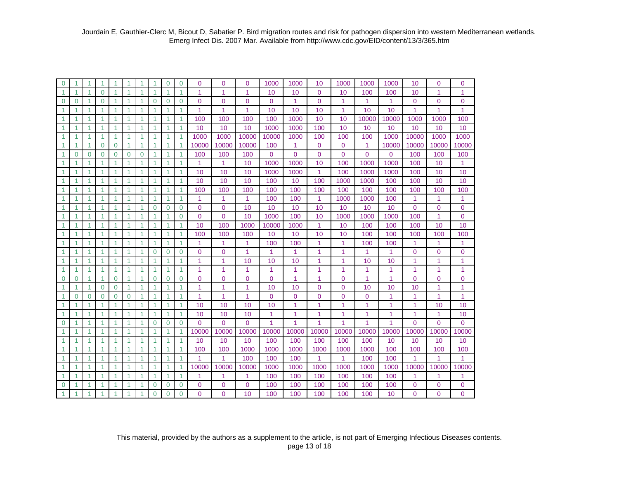| $\mathbf 0$          | 1                    | 1                    | 1            | -1                   | 1            | 1            | -1                   | $\Omega$ | $\mathbf 0$  | $\Omega$             | $\Omega$       | $\Omega$            | 1000        | 1000           | 10                   | 1000           | 1000         | 1000           | 10          | $\Omega$       | $\Omega$            |
|----------------------|----------------------|----------------------|--------------|----------------------|--------------|--------------|----------------------|----------|--------------|----------------------|----------------|---------------------|-------------|----------------|----------------------|----------------|--------------|----------------|-------------|----------------|---------------------|
| $\mathbf{1}$         | $\blacktriangleleft$ | 1                    | $\Omega$     | $\overline{1}$       | 1            | 1            | $\overline{1}$       | 1        | $\mathbf{1}$ | $\mathbf{1}$         | 1              | 1                   | 10          | 10             | $\Omega$             | 10             | 100          | 100            | 10          | 1              | 1                   |
| $\Omega$             | $\Omega$             | 1                    | $\Omega$     | $\overline{1}$       | 1            | 1            | $\Omega$             | $\Omega$ | $\mathbf 0$  | $\mathbf{0}$         | $\Omega$       | 0                   | 0           | 1              | $\Omega$             | 1              | 1            | $\overline{1}$ | 0           | 0              | $\mathbf 0$         |
| 1                    | 1                    | -1                   | 1.           | -1                   | 1            | 1            | -1                   |          | 1            | $\blacktriangleleft$ | 1              | 1                   | 10          | 10             | 10                   | 1              | 10           | 10             | 1           | 1              | 1                   |
| $\blacktriangleleft$ | 1                    |                      | 1            | -1                   | 1            | 1            | -1                   |          | $\mathbf{1}$ | 100                  | 100            | 100                 | 100         | 1000           | 10                   | 10             | 10000        | 10000          | 1000        | 1000           | 100                 |
| $\blacktriangleleft$ | 1                    | 1                    | $\mathbf{1}$ | $\overline{1}$       | 1            | 1            | $\overline{1}$       |          | $\mathbf{1}$ | 10                   | 10             | 10                  | 1000        | 1000           | 100                  | 10             | 10           | 10             | 10          | 10             | 10                  |
| $\blacktriangleleft$ | -1                   | 1                    | 1            | $\overline{1}$       | 1            | 1            | $\overline{1}$       |          | $\mathbf{1}$ | 1000                 | 1000           | 10000               | 10000       | 1000           | 100                  | 100            | 100          | 1000           | 10000       | 1000           | 1000                |
| $\mathbf{1}$         | $\mathbf{1}$         | 1                    | $\mathbf 0$  | $\mathbf 0$          | 1            | $\mathbf{1}$ | $\overline{1}$       | 1        | $\mathbf{1}$ | 10000                | 10000          | 10000               | 100         | 1              | $\mathbf{0}$         | $\mathbf 0$    | 1            | 10000          | 10000       | 10000          | 10000               |
| 1                    | $\Omega$             | $\mathbf 0$          | $\mathbf 0$  | $\Omega$             | $\mathbf{0}$ | $\mathbf 0$  | $\blacktriangleleft$ |          | $\mathbf{1}$ | 100                  | 100            | 100                 | $\Omega$    | $\overline{0}$ | $\Omega$             | $\overline{0}$ | $\mathbf{0}$ | $\Omega$       | 100         | 100            | 100                 |
| $\mathbf{1}$         | 1                    | 1                    | $\mathbf{1}$ | $\blacktriangleleft$ | 1.           | 1            | -1                   | 1        | $\mathbf{1}$ | 1                    | $\mathbf{1}$   | 10                  | 1000        | 1000           | 10                   | 100            | 1000         | 1000           | 100         | 10             | 1                   |
| $\mathbf{1}$         | 1                    | 1                    | 1            | $\overline{1}$       | 1            | 1            | 1                    |          | $\mathbf{1}$ | 10                   | 10             | 10                  | 1000        | 1000           | 1                    | 100            | 1000         | 1000           | 100         | 10             | 10                  |
| 1                    | 1                    | 1                    | 1            | -1                   | 1            | 1            | 1                    | 1        | $\mathbf{1}$ | 10                   | 10             | 10                  | 100         | 10             | 100                  | 1000           | 1000         | 100            | 100         | 10             | 10                  |
| 1                    | 1                    | $\blacktriangleleft$ | 1            | $\overline{1}$       | 1            | 1            | 1                    | 1        | 1            | 100                  | 100            | 100                 | 100         | 100            | 100                  | 100            | 100          | 100            | 100         | 100            | 100                 |
| 1                    | 1                    | 1                    | 1            | $\overline{1}$       | 1            | 1            | $\overline{1}$       | 1        | $\mathbf{1}$ | $\overline{1}$       | $\overline{1}$ | 1                   | 100         | 100            | $\blacktriangleleft$ | 1000           | 1000         | 100            | 1           | 1              | $\mathbf{1}$        |
| $\mathbf{1}$         | 1                    | 1                    | 1            | -1                   | 1            | 1            | $\overline{0}$       | 0        | $\mathbf 0$  | $\mathbf 0$          | $\mathbf 0$    | 10                  | 10          | 10             | 10                   | 10             | 10           | 10             | $\mathbf 0$ | 0              | $\mathbf 0$         |
| $\mathbf{1}$         | $\overline{1}$       | 1                    | 1            | $\overline{1}$       | 1            | 1            | $\overline{1}$       | 1        | $\mathbf 0$  | $\overline{0}$       | $\overline{0}$ | 10                  | 1000        | 100            | 10                   | 1000           | 1000         | 1000           | 100         | 1              | $\mathbf{0}$        |
| $\blacktriangleleft$ | -1                   | 1                    | 1            | -1                   | 1            | 1            | -1                   | 1        | 1            | 10                   | 100            | 1000                | 10000       | 1000           | 1                    | 10             | 100          | 100            | 100         | 10             | 10                  |
| $\blacktriangleleft$ | $\overline{1}$       | $\mathbf{1}$         | $\mathbf{1}$ | $\overline{1}$       | $\mathbf{1}$ | $\mathbf{1}$ | $\overline{1}$       | 1        | $\mathbf{1}$ | 100                  | 100            | 100                 | 10          | 10             | 10                   | 10             | 100          | 100            | 100         | 100            | 100                 |
| $\mathbf{1}$         | $\overline{1}$       | $\mathbf{1}$         | 1            | $\overline{1}$       | 1            | $\mathbf{1}$ | $\overline{1}$       | 1        | $\mathbf{1}$ | 1                    | $\overline{1}$ | 1                   | 100         | 100            | 1                    | $\mathbf{1}$   | 100          | 100            | 1           | 1              | 1                   |
| $\mathbf{1}$         | $\overline{1}$       | 1                    | 1            | $\overline{1}$       | 1            | 1            | $\Omega$             | $\Omega$ | $\mathbf 0$  | $\mathbf 0$          | $\Omega$       | 1                   | 1           | 1              | 1                    | 1              | 1            | 1              | 0           | 0              | $\mathbf{0}$        |
| 1                    | 1                    | 1                    | 1            | -1                   | 1            | 1            | 1                    |          | $\mathbf{1}$ | 1                    | 1              | 10                  | 10          | 10             | 1                    | 1              | 10           | 10             | 1           | 1              | 1                   |
| $\blacktriangleleft$ | 1                    | $\overline{1}$       | 1            | $\overline{1}$       | 1            | 1            | $\overline{1}$       |          | $\mathbf{1}$ | $\overline{1}$       | 1              | 1                   | 1           | 1              | 1                    | 1              | 1            | 1              | 1           | 1              | 1                   |
| $\mathbf 0$          | $\Omega$             | 1                    | $\mathbf{1}$ | $\Omega$             | 1            | $\mathbf{1}$ | $\Omega$             | $\Omega$ | $\mathbf 0$  | $\Omega$             | $\overline{0}$ | $\mathbf 0$         | $\mathbf 0$ | 1              | 1                    | $\Omega$       | 1            | 1              | 0           | $\overline{0}$ | $\mathbf{0}$        |
| 1                    | 1                    | 1                    | $\Omega$     | $\Omega$             | 1            | 1            | -1                   |          | $\mathbf{1}$ | 1                    | 1              | 1                   | 10          | 10             | $\Omega$             | $\Omega$       | 10           | 10             | 10          | 1              | 1                   |
| $\blacktriangleleft$ | $\mathbf 0$          | $\mathbf 0$          | $\mathbf 0$  | $\mathbf 0$          | 0            | 1            | $\blacktriangleleft$ |          | $\mathbf{1}$ | 1                    | 1              | 1                   | $\mathbf 0$ | $\mathbf 0$    | $\Omega$             | 0              | $\mathbf 0$  | 1              | 1           | 1              | 1                   |
| 1                    | 1                    | 1                    | 1            | -1                   | 1            | 1            | $\overline{1}$       |          | 1            | 10                   | 10             | 10                  | 10          | 1              | 1                    | 1              | 1            | 1              | 1           | 10             | 10                  |
| $\blacktriangleleft$ | $\overline{1}$       | 1                    | 1            | $\overline{1}$       | 1            | 1            | $\overline{1}$       | 1        | $\mathbf{1}$ | 10                   | 10             | 10                  | 1           | 1              | 1                    | 1              | 1            | 1              | 1           | 1              | 10                  |
| $\mathbf 0$          | 1                    | 1                    | 1            | 1                    | 1            | 1            | $\overline{0}$       | $\Omega$ | $\mathbf 0$  | $\Omega$             | $\Omega$       | 0                   | 1           | 1              |                      | 1              | 1            | 1              | $\Omega$    | 0              | $\Omega$            |
| 1                    | 1                    | 1                    | 1            | $\overline{1}$       | 1            | 1            | 1                    | 1        | $\mathbf{1}$ | 10000                | 10000          | 10000               | 10000       | 10000          | 10000                | 10000          | 10000        | 10000          | 10000       | 10000          | 10000               |
| 1                    | 1                    | 1                    | 1            | -1                   | 1            | 1            | 1                    |          | 1            | 10                   | 10             | 10                  | 100         | 100            | 100                  | 100            | 100          | 10             | 10          | 10             | 10                  |
| 1                    | 1                    | $\blacktriangleleft$ | 1            | $\overline{1}$       | 1            | 1            | $\overline{1}$       | 1        | $\mathbf{1}$ | 100                  | 100            | 1000                | 1000        | 1000           | 1000                 | 1000           | 1000         | 100            | 100         | 100            | 100                 |
| $\blacktriangleleft$ | $\overline{1}$       | 1                    | 1            | $\overline{1}$       | 1            | 1            | $\overline{1}$       | 1        | $\mathbf{1}$ | $\overline{1}$       | $\overline{1}$ | 100                 | 100         | 100            | $\mathbf{1}$         | 1              | 100          | 100            | 1           | 1              | 1                   |
| 1                    | -1                   | 1                    | 1            | -1                   | 1            | 1            | $\overline{1}$       | 1<br>1   | 1            | 10000                | 10000          | 10000               | 1000        | 1000           | 1000                 | 1000           | 1000         | 1000           | 10000       | 10000          | 10000               |
| 1                    | 1                    | 1                    | 1<br>1       | -1<br>1              | 1<br>1       | 1<br>1       | -1                   | $\Omega$ | 1            | 1<br>$\Omega$        | 1              | 1<br>$\overline{0}$ | 100         | 100            | 100                  | 100            | 100          | 100            | 1           | 1              | 1<br>$\overline{0}$ |
| $\Omega$             |                      |                      |              |                      |              |              | $\Omega$             |          | $\mathbf 0$  |                      | $\Omega$       |                     | 100         | 100            | 100                  | 100            | 100          | 100            | 0           | 0              |                     |
| $\blacktriangleleft$ | 1                    | 1                    | 1            | $\overline{1}$       | 1            | 1            | $\overline{0}$       | $\Omega$ | $\mathbf 0$  | $\Omega$             | $\Omega$       | 10                  | 100         | 100            | 100                  | 100            | 100          | 10             | 0           | $\overline{0}$ | $\Omega$            |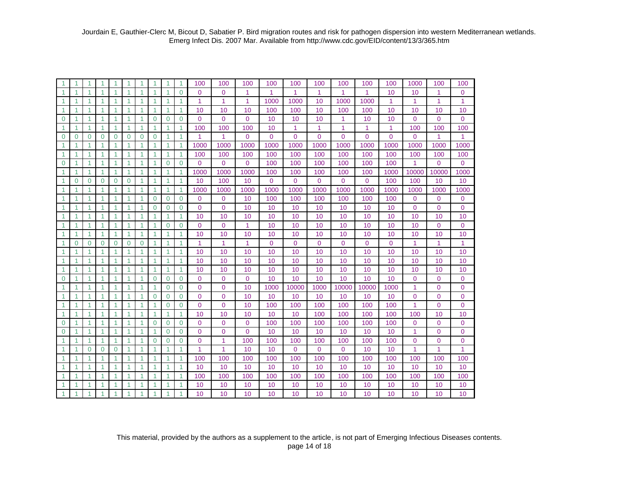| $\blacktriangleleft$ | 1              |              | 1                    | 1                    | 1            | 1                    | 1              |                | 1            | 100                  | 100            | 100            | 100            | 100            | 100          | 100            | 100            | 100            | 1000         | 100            | 100            |
|----------------------|----------------|--------------|----------------------|----------------------|--------------|----------------------|----------------|----------------|--------------|----------------------|----------------|----------------|----------------|----------------|--------------|----------------|----------------|----------------|--------------|----------------|----------------|
| $\blacktriangleleft$ | 1              |              | 1                    | 1                    |              | 1                    | 1              |                | $\Omega$     | $\Omega$             | $\Omega$       | 1              | 1              | 1              | 1            | 1              | 1              | 10             | 10           | 1              | 0              |
| $\blacktriangleleft$ | 1              |              | 1                    | 1                    |              | 1                    | 1              |                | 1            | 1                    | 1              | 1              | 1000           | 1000           | 10           | 1000           | 1000           | 1              | 1            | 1              | $\mathbf{1}$   |
| $\mathbf{1}$         | 1              | 1            | $\mathbf{1}$         | 1                    | 1            | $\mathbf{1}$         | 1              | 1              | 1            | 10                   | 10             | 10             | 100            | 100            | 10           | 100            | 100            | 10             | 10           | 10             | 10             |
| $\mathbf 0$          | 1              | 1            | $\mathbf{1}$         | 1                    | 1            | $\mathbf{1}$         | $\Omega$       | $\Omega$       | $\mathbf 0$  | $\Omega$             | $\Omega$       | $\mathbf 0$    | 10             | 10             | 10           | 1              | 10             | 10             | $\Omega$     | $\mathbf 0$    | $\overline{0}$ |
| $\mathbf{1}$         | 1              | 1            | $\mathbf{1}$         | 1                    | 1            | $\mathbf{1}$         | 1              | 1              | 1            | 100                  | 100            | 100            | 10             | 1              | 1            | 1              | 1              | 1              | 100          | 100            | 100            |
| $\overline{0}$       | $\overline{0}$ | $\Omega$     | $\mathbf 0$          | $\Omega$             | $\Omega$     | $\mathbf 0$          | $\overline{0}$ | 1              | 1            | 1                    | $\overline{1}$ | $\overline{0}$ | $\overline{0}$ | $\overline{0}$ | $\Omega$     | $\overline{0}$ | $\overline{0}$ | $\overline{0}$ | $\Omega$     | 1              | 1              |
| $\blacktriangleleft$ | 1              | 1            | $\blacktriangleleft$ | 1                    | $\mathbf{1}$ | $\mathbf{1}$         | 1              | 1              | 1            | 1000                 | 1000           | 1000           | 1000           | 1000           | 1000         | 1000           | 1000           | 1000           | 1000         | 1000           | 1000           |
| $\mathbf{1}$         | 1              |              | 1                    | 1                    | 1            | 1                    | 1              | 1              | $\mathbf{1}$ | 100                  | 100            | 100            | 100            | 100            | 100          | 100            | 100            | 100            | 100          | 100            | 100            |
| $\mathbf 0$          | 1              | 1            | $\mathbf{1}$         | 1                    | 1            | 1                    | 1              | $\Omega$       | $\Omega$     | $\overline{0}$       | $\Omega$       | 0              | 100            | 100            | 100          | 100            | 100            | 100            | 1            | $\mathbf{0}$   | $\overline{0}$ |
| $\mathbf{1}$         | 1              | 1            | $\blacktriangleleft$ | $\mathbf{1}$         | 1            | 1                    | 1              | 1              | 1            | 1000                 | 1000           | 1000           | 100            | 100            | 100          | 100            | 100            | 1000           | 10000        | 10000          | 1000           |
| $\mathbf{1}$         | $\Omega$       | $\Omega$     | $\Omega$             | $\Omega$             | $\Omega$     | $\mathbf{1}$         | $\overline{1}$ | 1              | $\mathbf{1}$ | 10                   | 100            | 10             | $\overline{0}$ | $\mathbf 0$    | $\mathbf{0}$ | $\overline{0}$ | $\mathbf 0$    | 100            | 100          | 10             | 10             |
| $\mathbf{1}$         | 1              | 1            | $\mathbf{1}$         | 1                    | 1            | $\mathbf{1}$         | 1              | 1              | $\mathbf{1}$ | 1000                 | 1000           | 1000           | 1000           | 1000           | 1000         | 1000           | 1000           | 1000           | 1000         | 1000           | 1000           |
| $\mathbf{1}$         | 1              | 1            | $\mathbf{1}$         | $\mathbf{1}$         | 1            | $\mathbf{1}$         | $\overline{0}$ | 0              | $\mathbf 0$  | $\overline{0}$       | $\mathbf{0}$   | 10             | 100            | 100            | 100          | 100            | 100            | 100            | $\mathbf{0}$ | $\mathbf{0}$   | $\mathbf 0$    |
| $\blacktriangleleft$ | 1              | 1            | 1                    | $\overline{1}$       | 1            | $\mathbf{1}$         | $\Omega$       | $\Omega$       | $\Omega$     | $\Omega$             | $\Omega$       | 10             | 10             | 10             | 10           | 10             | 10             | 10             | $\mathbf{0}$ | $\mathbf{0}$   | $\mathbf 0$    |
| $\blacktriangleleft$ | $\overline{1}$ | 1            | $\blacktriangleleft$ | $\overline{1}$       | $\mathbf{1}$ | $\mathbf{1}$         | $\overline{1}$ | 1              | $\mathbf{1}$ | 10                   | 10             | 10             | 10             | 10             | 10           | 10             | 10             | 10             | 10           | 10             | 10             |
| $\blacktriangleleft$ | 1              | 1            | $\mathbf{1}$         | 1                    | 1            | $\mathbf{1}$         | $\mathbf{1}$   | $\Omega$       | $\mathbf 0$  | $\overline{0}$       | $\mathbf{0}$   | 1              | 10             | 10             | 10           | 10             | 10             | 10             | 10           | $\mathbf 0$    | $\mathbf 0$    |
| $\blacktriangleleft$ | 1              | 1            | $\blacktriangleleft$ | $\mathbf{1}$         | 1            | 1                    | 1              | 1              | $\mathbf{1}$ | 10                   | 10             | 10             | 10             | 10             | 10           | 10             | 10             | 10             | 10           | 10             | 10             |
| $\blacktriangleleft$ | $\Omega$       | $\Omega$     | $\Omega$             | $\Omega$             | $\Omega$     | $\Omega$             | 1              |                | 1            | $\blacktriangleleft$ | $\overline{1}$ | 1              | $\mathbf{0}$   | $\Omega$       | $\Omega$     | $\Omega$       | $\Omega$       | $\overline{0}$ | 1            | 1              | 1              |
| $\blacktriangleleft$ | 1              |              | 1                    | 1                    |              | 1                    | 1              |                | 1            | 10                   | 10             | 10             | 10             | 10             | 10           | 10             | 10             | 10             | 10           | 10             | 10             |
| $\mathbf{1}$         | 1              | 1            | $\mathbf{1}$         | 1                    | 1            | $\mathbf{1}$         | 1              | 1              | 1            | 10                   | 10             | 10             | 10             | 10             | 10           | 10             | 10             | 10             | 10           | 10             | 10             |
| $\blacktriangleleft$ | 1              | 1            | $\blacktriangleleft$ | 1                    | 1            | $\mathbf{1}$         | 1              | 1              | 1            | 10                   | 10             | 10             | 10             | 10             | 10           | 10             | 10             | 10             | 10           | 10             | 10             |
| $\mathbf 0$          | 1              |              | 1                    | 1                    | 1            | 1                    | $\Omega$       | $\Omega$       | $\Omega$     | $\Omega$             | $\Omega$       | $\Omega$       | 10             | 10             | 10           | 10             | 10             | 10             | $\mathbf{0}$ | $\mathbf{0}$   | $\mathbf 0$    |
| $\blacktriangleleft$ | 1              | $\mathbf{1}$ | $\blacktriangleleft$ | 1                    | 1            | $\mathbf{1}$         | 1              | 0              | $\mathbf 0$  | $\overline{0}$       | $\overline{0}$ | 10             | 1000           | 10000          | 1000         | 10000          | 10000          | 1000           | 1            | $\mathbf 0$    | $\mathbf 0$    |
| $\mathbf{1}$         | 1              | 1            | $\mathbf{1}$         | 1                    | $\mathbf{1}$ | 1                    | $\overline{0}$ | $\Omega$       | $\mathbf 0$  | $\overline{0}$       | $\overline{0}$ | 10             | 10             | 10             | 10           | 10             | 10             | 10             | $\mathbf{0}$ | $\mathbf 0$    | $\mathbf 0$    |
| $\blacktriangleleft$ | 1              | 1            | $\mathbf{1}$         | 1                    | 1            | 1                    | 1              | $\Omega$       | $\Omega$     | $\Omega$             | $\Omega$       | 10             | 100            | 100            | 100          | 100            | 100            | 100            | 1            | $\mathbf{0}$   | $\overline{0}$ |
| $\blacktriangleleft$ | 1              | 1            | 1                    | 1                    | 1            | 1                    | 1              | 1              | 1            | 10                   | 10             | 10             | 10             | 10             | 100          | 100            | 100            | 100            | 100          | 10             | 10             |
| $\mathbf 0$          | $\mathbf{1}$   | 1            | $\blacktriangleleft$ | $\overline{1}$       | 1            | 1                    | $\overline{0}$ | $\Omega$       | $\mathbf 0$  | $\overline{0}$       | $\mathbf{0}$   | $\mathbf{0}$   | 100            | 100            | 100          | 100            | 100            | 100            | $\mathbf{0}$ | $\mathbf 0$    | $\mathbf 0$    |
| $\mathbf 0$          | 1              | 1            | $\mathbf{1}$         | $\overline{1}$       | 1            | $\mathbf{1}$         | 1              | $\overline{0}$ | $\mathbf 0$  | $\overline{0}$       | $\overline{0}$ | $\overline{0}$ | 10             | 10             | 10           | 10             | 10             | 10             | 1            | $\mathbf 0$    | $\mathbf 0$    |
| $\mathbf{1}$         | 1              | 1            | $\mathbf{1}$         | 1                    | 1            | $\mathbf{1}$         | $\Omega$       | $\Omega$       | $\Omega$     | $\Omega$             | 1              | 100            | 100            | 100            | 100          | 100            | 100            | 100            | $\mathbf 0$  | $\overline{0}$ | $\overline{0}$ |
| $\mathbf{1}$         | 1              | $\Omega$     | $\mathbf 0$          | $\Omega$             |              | 1                    | 1              | 1              | 1            | 1                    | 1              | 10             | 10             | $\mathbf{0}$   | $\Omega$     | 0              | 10             | 10             | 1            | 1              | $\mathbf{1}$   |
| $\blacktriangleleft$ | $\overline{1}$ | $\mathbf{1}$ | 1                    | $\overline{1}$       | 1            | $\mathbf{1}$         | $\overline{1}$ | 1              | $\mathbf{1}$ | 100                  | 100            | 100            | 100            | 100            | 100          | 100            | 100            | 100            | 100          | 100            | 100            |
| $\blacktriangleleft$ | $\overline{1}$ | 1            | $\blacktriangleleft$ | $\blacktriangleleft$ | 1            | $\blacktriangleleft$ | $\overline{1}$ | 1              | 1            | 10                   | 10             | 10             | 10             | 10             | 10           | 10             | 10             | 10             | 10           | 10             | 10             |
| $\blacktriangleleft$ | 1              | 1            | 1                    | 1                    | 1            | 1                    | 1              | 1              | $\mathbf{1}$ | 100                  | 100            | 100            | 100            | 100            | 100          | 100            | 100            | 100            | 100          | 100            | 100            |
| 1                    |                |              |                      |                      |              | 1                    |                |                |              | 10                   | 10             | 10             | 10             | 10             | 10           | 10             | 10             | 10             | 10           | 10             | 10             |
| $\overline{1}$       | 1              | 1            | 1                    | 1                    |              | 1                    | 1              | 1              | 1            | 10                   | 10             | 10             | 10             | 10             | 10           | 10             | 10             | 10             | 10           | 10             | 10             |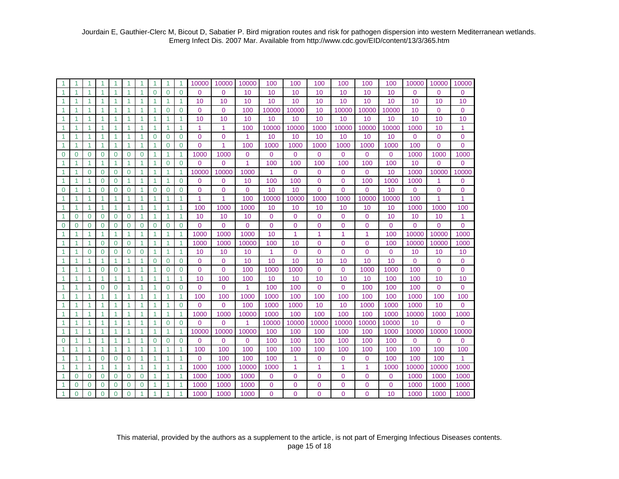|                      |                |          |                      |                |              |                      |                |              |                | 10000          | 10000          | 10000          | 100            | 100            | 100          | 100            | 100            | 100            | 10000       | 10000        | 10000          |
|----------------------|----------------|----------|----------------------|----------------|--------------|----------------------|----------------|--------------|----------------|----------------|----------------|----------------|----------------|----------------|--------------|----------------|----------------|----------------|-------------|--------------|----------------|
| 1                    | 1              |          |                      | 1              |              | 1                    | $\Omega$       | $\Omega$     | $\Omega$       | $\Omega$       | $\Omega$       | 10             | 10             | 10             | 10           | 10             | 10             | 10             | $\Omega$    | 0            | 0              |
| $\blacktriangleleft$ | 1              |          | 1                    | 1              |              | 1                    | 1              |              | 1              | 10             | 10             | 10             | 10             | 10             | 10           | 10             | 10             | 10             | 10          | 10           | 10             |
| 1                    | 1              |          | 1                    | 1              |              | 1                    | 1              | 0            | $\mathbf 0$    | $\overline{0}$ | $\mathbf 0$    | 100            | 10000          | 10000          | 10           | 10000          | 10000          | 10000          | 10          | 0            | 0              |
| $\blacktriangleleft$ | 1              | 1        | $\mathbf{1}$         | 1              | 1            | $\mathbf{1}$         | 1              | 1            | 1              | 10             | 10             | 10             | 10             | 10             | 10           | 10             | 10             | 10             | 10          | 10           | 10             |
| $\blacktriangleleft$ | 1              | 1        | 1                    | 1              | 1            | 1                    | 1              | 1            | 1              | 1              | 1              | 100            | 10000          | 10000          | 1000         | 10000          | 10000          | 10000          | 1000        | 10           | 1              |
| $\overline{1}$       | 1              | 1        | 1                    | 1              | 1            | 1                    | $\Omega$       | $\Omega$     | $\Omega$       | $\Omega$       | $\Omega$       | 1              | 10             | 10             | 10           | 10             | 10             | 10             | 0           | $\mathbf 0$  | $\overline{0}$ |
| 1                    | 1              |          | $\blacktriangleleft$ | 1              | 1            | $\mathbf{1}$         | 1              | 0            | $\Omega$       | $\overline{0}$ | 1              | 100            | 1000           | 1000           | 1000         | 1000           | 1000           | 1000           | 100         | 0            | $\overline{0}$ |
| $\overline{0}$       | $\overline{0}$ | $\Omega$ | $\Omega$             | $\Omega$       | $\Omega$     | $\overline{0}$       | 1              | 1            | $\mathbf{1}$   | 1000           | 1000           | 0              | 0              | $\overline{0}$ | $\Omega$     | 0              | $\Omega$       | $\Omega$       | 1000        | 1000         | 1000           |
| $\mathbf{1}$         | 1              | 1        | $\blacktriangleleft$ | 1              | 1            | 1                    | 1              | $\Omega$     | $\Omega$       | $\Omega$       | $\Omega$       | 1              | 100            | 100            | 100          | 100            | 100            | 100            | 10          | $\mathbf{0}$ | 0              |
| $\mathbf{1}$         | 1              | $\Omega$ | $\Omega$             | $\Omega$       | $\Omega$     | $\mathbf{1}$         | 1              | 1            | 1              | 10000          | 10000          | 1000           | 1              | $\mathbf{0}$   | $\Omega$     | 0              | $\mathbf 0$    | 10             | 1000        | 10000        | 10000          |
| $\mathbf{1}$         | 1              |          | $\Omega$             | $\Omega$       | 1            | $\blacktriangleleft$ | 1              | 1            | $\Omega$       | $\Omega$       | $\Omega$       | 10             | 100            | 100            | $\Omega$     | $\Omega$       | 100            | 1000           | 1000        | 1            | $\overline{0}$ |
| 0                    | 1              |          | $\mathbf 0$          | $\Omega$       | $\mathbf 0$  | 1                    | $\overline{0}$ | $\mathbf{0}$ | $\mathbf 0$    | $\overline{0}$ | $\overline{0}$ | 0              | 10             | 10             | $\Omega$     | $\Omega$       | $\Omega$       | 10             | $\mathbf 0$ | 0            | $\mathbf 0$    |
| $\blacktriangleleft$ | 1              | 1        | 1                    | $\overline{1}$ | 1            | 1                    | $\overline{1}$ | 1            | $\overline{1}$ | $\overline{1}$ | 1              | 100            | 10000          | 10000          | 1000         | 1000           | 10000          | 10000          | 100         | 1            | 1              |
| $\blacktriangleleft$ | 1              | 1        | $\mathbf{1}$         | $\mathbf{1}$   | $\mathbf{1}$ | 1                    | 1              | 1            | $\mathbf{1}$   | 100            | 1000           | 1000           | 10             | 10             | 10           | 10             | 10             | 10             | 1000        | 1000         | 100            |
| -1                   | $\Omega$       | $\Omega$ | $\Omega$             | $\Omega$       | $\Omega$     | 1                    | 1              |              | 1              | 10             | 10             | 10             | $\mathbf 0$    | $\Omega$       | $\Omega$     | $\Omega$       | $\Omega$       | 10             | 10          | 10           | 1              |
| $\mathbf 0$          | $\overline{0}$ | $\Omega$ | $\mathbf 0$          | $\Omega$       | $\Omega$     | $\mathbf 0$          | $\overline{0}$ | $\Omega$     | $\mathbf 0$    | $\Omega$       | $\Omega$       | $\overline{0}$ | $\mathbf 0$    | $\overline{0}$ | $\mathbf{0}$ | 0              | $\overline{0}$ | $\overline{0}$ | $\Omega$    | $\mathbf{0}$ | $\overline{0}$ |
| 1                    | 1              |          | 1                    | $\mathbf{1}$   |              | 1                    | 1              |              | 1              | 1000           | 1000           | 1000           | 10             | 1              | 1            | 1              | $\mathbf{1}$   | 100            | 10000       | 10000        | 1000           |
| $\mathbf{1}$         | 1              |          | $\mathbf 0$          | $\Omega$       | 0            | $\mathbf{1}$         | 1              | 1            | 1              | 1000           | 1000           | 10000          | 100            | 10             | $\Omega$     | 0              | $\mathbf{0}$   | 100            | 10000       | 10000        | 1000           |
| -1                   | 1              | $\Omega$ | $\Omega$             | $\Omega$       | $\Omega$     | $\mathbf 0$          | 1              | 1            | 1              | 10             | 10             | 10             | 1              | $\Omega$       | $\Omega$     | $\Omega$       | $\Omega$       | 0              | 10          | 10           | 10             |
| -1                   | 1              | 1        | $\mathbf{1}$         | 1              | 1            | 1                    | $\Omega$       | $\Omega$     | $\Omega$       | $\Omega$       | $\Omega$       | 10             | 10             | 10             | 10           | 10             | 10             | 10             | $\Omega$    | $\Omega$     | $\mathbf 0$    |
| -1                   | 1              | 1        | $\mathbf 0$          | $\Omega$       | 1            | $\blacktriangleleft$ | 1              | $\Omega$     | $\mathbf 0$    | $\Omega$       | $\Omega$       | 100            | 1000           | 1000           | $\Omega$     | 0              | 1000           | 1000           | 100         | $\mathbf{0}$ | $\mathbf 0$    |
| $\overline{1}$       | 1              |          | $\blacktriangleleft$ | 1              | 1            | 1                    | 1              | 1            | $\mathbf{1}$   | 10             | 100            | 100            | 10             | 10             | 10           | 10             | 10             | 100            | 100         | 10           | 10             |
| $\overline{1}$       | 1              |          | $\Omega$             | $\Omega$       | 1            | 1                    | 1              | $\Omega$     | $\Omega$       | $\Omega$       | $\Omega$       | 1              | 100            | 100            | $\Omega$     | $\Omega$       | 100            | 100            | 100         | $\Omega$     | $\Omega$       |
| 1                    | 1              |          | 1                    | 1              | 1            | 1                    | 1              | 1            | $\mathbf{1}$   | 100            | 100            | 1000           | 1000           | 100            | 100          | 100            | 100            | 100            | 1000        | 100          | 100            |
| 1                    | 1              | 1        | $\mathbf{1}$         | 1              | 1            | $\mathbf{1}$         | 1              | 1            | $\Omega$       | $\mathbf{0}$   | $\Omega$       | 100            | 1000           | 1000           | 10           | 10             | 1000           | 1000           | 1000        | 10           | $\overline{0}$ |
| $\mathbf{1}$         | 1              | 1        | $\mathbf{1}$         | 1              | 1            | $\mathbf{1}$         | 1              | 1            | 1              | 1000           | 1000           | 10000          | 1000           | 100            | 100          | 100            | 100            | 1000           | 10000       | 1000         | 1000           |
| $\mathbf{1}$         | 1              |          | 1                    | 1              | 1            | 1                    | $\mathbf{1}$   | $\Omega$     | $\Omega$       | $\Omega$       | $\Omega$       | 1              | 10000          | 10000          | 10000        | 10000          | 10000          | 10000          | 10          | $\Omega$     | 0              |
| -1                   | 1              | 1        | 1                    | $\overline{1}$ | 1            | 1                    | $\overline{1}$ | 1            | 1              | 10000          | 10000          | 10000          | 100            | 100            | 100          | 100            | 100            | 1000           | 10000       | 10000        | 10000          |
| $\Omega$             | $\mathbf{1}$   | 1        | $\blacktriangleleft$ | $\overline{1}$ | 1            | $\blacktriangleleft$ | $\Omega$       | $\Omega$     | $\Omega$       | $\Omega$       | $\Omega$       | $\Omega$       | 100            | 100            | 100          | 100            | 100            | 100            | $\Omega$    | $\Omega$     | $\overline{0}$ |
| $\blacktriangleleft$ | 1              |          | 1                    | $\mathbf{1}$   | 1            | 1                    | 1              |              | 1              | 100            | 100            | 100            | 100            | 100            | 100          | 100            | 100            | 100            | 100         | 100          | 100            |
| $\overline{1}$       | 1              |          | $\Omega$             | $\Omega$       | $\Omega$     | 1                    | 1              |              | $\overline{1}$ | $\overline{0}$ | 100            | 100            | 100            | 1              | $\Omega$     | 0              | $\Omega$       | 100            | 100         | 100          | 1              |
| $\overline{1}$       | 1              |          | 1                    | 1              |              | 1                    | 1              |              | 1              | 1000           | 1000           | 10000          | 1000           | 1              | 1            | 1              | 1              | 1000           | 10000       | 10000        | 1000           |
| $\overline{1}$       | $\Omega$       | $\Omega$ | $\Omega$             | $\Omega$       | $\Omega$     | $\Omega$             | 1              |              | 1              | 1000           | 1000           | 1000           | $\mathbf{0}$   | $\Omega$       | $\Omega$     | 0              | $\mathbf 0$    | 0              | 1000        | 1000         | 1000           |
| $\mathbf{1}$         | $\overline{0}$ | 0        | $\mathbf 0$          | 0              | 0            | $\mathbf 0$          | 1              |              |                | 1000           | 1000           | 1000           | $\overline{0}$ | $\overline{0}$ | 0            | $\overline{0}$ | $\Omega$       | $\overline{0}$ | 1000        | 1000         | 1000           |
| $\blacktriangleleft$ | $\overline{0}$ | $\Omega$ | $\Omega$             | $\overline{0}$ | $\Omega$     | 1                    | 1              | 1            | $\overline{1}$ | 1000           | 1000           | 1000           | $\overline{0}$ | $\overline{0}$ | 0            | $\overline{0}$ | $\Omega$       | 10             | 1000        | 1000         | 1000           |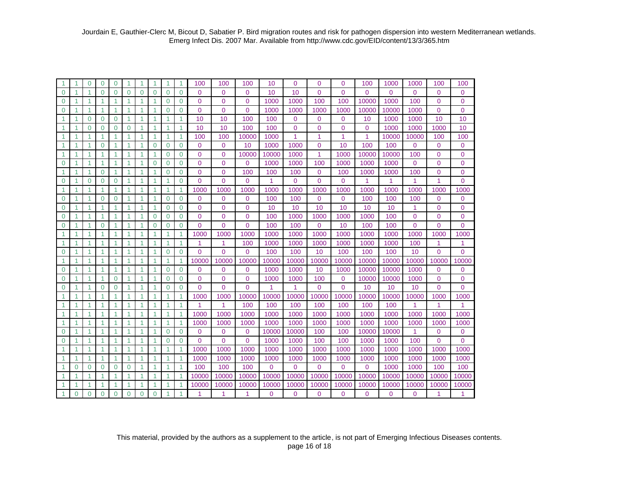|                |          | $\Omega$ | 0              | $\Omega$       |              | 1              |                |          | 1              | 100            | 100            | 100            | 10       | $\overline{0}$ | $\Omega$     | $\overline{0}$ | 100      | 1000     | 1000        | 100          | 100            |
|----------------|----------|----------|----------------|----------------|--------------|----------------|----------------|----------|----------------|----------------|----------------|----------------|----------|----------------|--------------|----------------|----------|----------|-------------|--------------|----------------|
| $\Omega$       |          |          | $\Omega$       | $\Omega$       | $\Omega$     | $\overline{0}$ | $\Omega$       | $\Omega$ | $\mathbf 0$    | $\Omega$       | $\Omega$       | 0              | 10       | 10             | $\Omega$     | $\overline{0}$ | $\Omega$ | $\Omega$ | $\Omega$    | 0            | 0              |
| $\Omega$       | 1        |          | 1              | 1              |              | 1              | 1              | $\Omega$ | $\mathbf 0$    | $\Omega$       | $\Omega$       | 0              | 1000     | 1000           | 100          | 100            | 10000    | 1000     | 100         | 0            | 0              |
| $\mathbf 0$    | 1        | 1        | 1              | 1              | 1            | 1              | -1             | 0        | $\mathbf 0$    | $\mathbf{0}$   | 0              | 0              | 1000     | 1000           | 1000         | 1000           | 10000    | 10000    | 1000        | 0            | 0              |
| 1              | 1        | $\Omega$ | $\mathbf 0$    | $\Omega$       | 1            | 1              | 1              | 1        | 1              | 10             | 10             | 100            | 100      | 0              | $\Omega$     | $\overline{0}$ | 10       | 1000     | 1000        | 10           | 10             |
| 1              | 1        | $\Omega$ | $\Omega$       | $\Omega$       | $\Omega$     | 1              | 1              | 1        | 1              | 10             | 10             | 100            | 100      | $\mathbf 0$    | $\Omega$     | 0              | $\Omega$ | 1000     | 1000        | 1000         | 10             |
| 1              | 1        | 1        | 1              | 1              | 1            | 1              | $\overline{1}$ | 1        | 1              | 100            | 100            | 10000          | 1000     | 1              | 1            | 1              | 1        | 10000    | 10000       | 100          | 100            |
| 1              | 1        | 1        | $\Omega$       | 1              | 1            | 1              | $\overline{0}$ | 0        | $\mathbf 0$    | $\mathbf{0}$   | $\Omega$       | 10             | 1000     | 1000           | $\Omega$     | 10             | 100      | 100      | 0           | 0            | 0              |
| 1              | 1        | 1        | 1              | 1              | 1            | 1              | 1              | $\Omega$ | 0              | $\overline{0}$ | $\Omega$       | 10000          | 10000    | 1000           | 1            | 1000           | 10000    | 10000    | 100         | 0            | 0              |
| $\Omega$       | 1        | 1        | 1              | $\overline{1}$ | 1            | 1              | $\Omega$       | $\Omega$ | $\mathbf 0$    | $\overline{0}$ | $\overline{0}$ | 0              | 1000     | 1000           | 100          | 1000           | 1000     | 1000     | $\mathbf 0$ | 0            | $\overline{0}$ |
| 1              | 1        | -1       | 0              | -1             | 1            | 1              | 1              | $\Omega$ | $\mathbf 0$    | $\mathbf{0}$   | $\Omega$       | 100            | 100      | 100            | $\mathbf{0}$ | 100            | 1000     | 1000     | 100         | 0            | 0              |
| $\Omega$       | 1        | $\Omega$ | $\Omega$       | $\Omega$       | 1            | 1              | -1             | 1        | $\Omega$       | $\Omega$       | $\Omega$       | $\Omega$       | 1        | $\Omega$       | $\Omega$     | $\Omega$       | 1        | 1        | 1           | 1            | $\overline{0}$ |
| 1              | 1        | 1        | 1              | $\mathbf{1}$   | 1            | 1              | $\mathbf 1$    | 1        | 1              | 1000           | 1000           | 1000           | 1000     | 1000           | 1000         | 1000           | 1000     | 1000     | 1000        | 1000         | 1000           |
| $\Omega$       | 1        | 1        | $\Omega$       | $\Omega$       | $\mathbf{1}$ | $\mathbf{1}$   | $\overline{1}$ | $\Omega$ | $\Omega$       | $\Omega$       | $\Omega$       | $\Omega$       | 100      | 100            | $\Omega$     | $\Omega$       | 100      | 100      | 100         | $\mathbf 0$  | $\mathbf{0}$   |
| $\overline{0}$ | 1        | 1        | 1              | 1              | 1            | 1              | $\overline{1}$ | $\Omega$ | $\mathbf 0$    | $\Omega$       | $\Omega$       | 0              | 10       | 10             | 10           | 10             | 10       | 10       | 1           | $\mathbf 0$  | 0              |
| 0              | 1        | 1        | 1              | $\overline{1}$ | 1            | 1              | $\Omega$       | $\Omega$ | $\Omega$       | $\Omega$       | $\Omega$       | 0              | 100      | 1000           | 1000         | 1000           | 1000     | 100      | $\Omega$    | 0            | 0              |
| $\mathbf 0$    | 1        |          | $\Omega$       | 1              | 1            | 1              | $\overline{0}$ | $\Omega$ | $\mathbf 0$    | $\overline{0}$ | $\Omega$       | 0              | 100      | 100            | $\Omega$     | 10             | 100      | 100      | $\Omega$    | 0            | 0              |
| 1              | 1        |          | 1              | 1              | 1            | 1              | 1              |          | 1              | 1000           | 1000           | 1000           | 1000     | 1000           | 1000         | 1000           | 1000     | 1000     | 1000        | 1000         | 1000           |
| 1              | 1        | 1        | 1              | 1              | 1            | 1              | 1              |          | 1              | 1              | 1              | 100            | 1000     | 1000           | 1000         | 1000           | 1000     | 1000     | 100         | 1            | 1              |
| $\Omega$       | 1        | 1        | 1              | 1              | 1            | 1              | 1              | $\Omega$ | $\Omega$       | $\Omega$       | $\Omega$       | 0              | 100      | 100            | 10           | 100            | 100      | 100      | 10          | $\Omega$     | $\overline{0}$ |
| 1              | 1        | 1        | 1              | 1              | 1            | 1              | 1              | 1        | 1              | 10000          | 10000          | 10000          | 10000    | 10000          | 10000        | 10000          | 10000    | 10000    | 10000       | 10000        | 10000          |
| $\Omega$       | 1        | 1        | 1              | 1              | 1            | 1              | 1              | $\Omega$ | $\mathbf 0$    | $\Omega$       | $\Omega$       | 0              | 1000     | 1000           | 10           | 1000           | 10000    | 10000    | 1000        | 0            | 0              |
| $\overline{0}$ | 1        | 1        | 1              | $\Omega$       | 1            | 1              | 1              | $\Omega$ | $\overline{0}$ | $\mathbf 0$    | 0              | 0              | 1000     | 1000           | 100          | 0              | 10000    | 10000    | 1000        | $\mathbf{0}$ | 0              |
| $\overline{0}$ | 1        | 1        | $\overline{0}$ | $\Omega$       | 1            | 1              | 1              | $\Omega$ | $\Omega$       | $\Omega$       | $\Omega$       | $\Omega$       | 1        | 1              | $\Omega$     | $\Omega$       | 10       | 10       | 10          | $\Omega$     | $\Omega$       |
| 1              | 1        | 1        | 1              | 1              | 1            | 1              | -1             | 1        | 1              | 1000           | 1000           | 10000          | 10000    | 10000          | 10000        | 10000          | 10000    | 10000    | 10000       | 1000         | 1000           |
| 1              | 1        | -1       | 1              | $\mathbf{1}$   | 1            | 1              | -1             | 1        | $\mathbf{1}$   | 1              | 1              | 100            | 100      | 100            | 100          | 100            | 100      | 100      | 1           | 1            | 1              |
| 1              | 1        | 1        | 1              | $\mathbf{1}$   | 1            | 1              | $\mathbf{1}$   | 1        | $\mathbf{1}$   | 1000           | 1000           | 1000           | 1000     | 1000           | 1000         | 1000           | 1000     | 1000     | 1000        | 1000         | 1000           |
| 1              | 1        | 1        | 1              | 1              | 1            | 1              | 1              | 1        | $\mathbf{1}$   | 1000           | 1000           | 1000           | 1000     | 1000           | 1000         | 1000           | 1000     | 1000     | 1000        | 1000         | 1000           |
| $\Omega$       | 1        | 1        | 1              | -1             | -1           | 1              | -1             | $\Omega$ | $\Omega$       | $\Omega$       | 0              | 0              | 10000    | 10000          | 100          | 100            | 10000    | 10000    | 1           | 0            | $\overline{0}$ |
| $\Omega$       | 1        | 1        | $\mathbf{1}$   | $\overline{1}$ | 1            | 1              | $\overline{1}$ | $\Omega$ | $\Omega$       | $\Omega$       | $\Omega$       | $\overline{0}$ | 1000     | 1000           | 100          | 100            | 1000     | 1000     | 100         | $\Omega$     | $\overline{0}$ |
| 1              | 1        | 1        | 1              | 1              | 1            | 1              | 1              |          | 1              | 1000           | 1000           | 1000           | 1000     | 1000           | 1000         | 1000           | 1000     | 1000     | 1000        | 1000         | 1000           |
| 1              |          |          | 1              | 1              | 1            | 1              |                |          | 1              | 1000           | 1000           | 1000           | 1000     | 1000           | 1000         | 1000           | 1000     | 1000     | 1000        | 1000         | 1000           |
| 1              | $\Omega$ | $\Omega$ | $\Omega$       | $\Omega$       | $\Omega$     | 1              |                |          | $\mathbf{1}$   | 100            | 100            | 100            | $\Omega$ | $\Omega$       | $\Omega$     | $\Omega$       | $\Omega$ | 1000     | 1000        | 100          | 100            |
| 1              |          |          | 1              | -1             |              | 1              | -1             |          | 1              | 10000          | 10000          | 10000          | 10000    | 10000          | 10000        | 10000          | 10000    | 10000    | 10000       | 10000        | 10000          |
| 1              |          |          | 1              |                |              | 1              |                |          | 1              | 10000          | 10000          | 10000          | 10000    | 10000          | 10000        | 10000          | 10000    | 10000    | 10000       | 10000        | 10000          |
| $\overline{1}$ | $\Omega$ | $\Omega$ | $\overline{0}$ | $\Omega$       | $\Omega$     | $\overline{0}$ | $\Omega$       | 1        | 1              | 1              |                | 1              | $\Omega$ | 0              | 0            | $\Omega$       | 0        | $\Omega$ | $\Omega$    | 1            | 1              |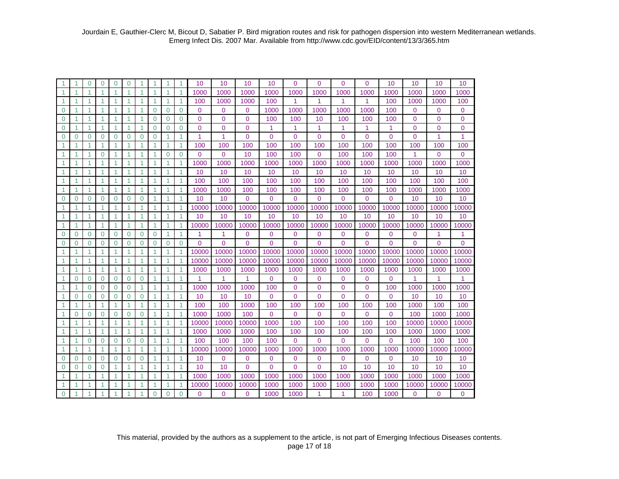|                |                | 0            | 0              | $\Omega$       | 0              | 1              |                      |          |              | 10             | 10          | 10             | 10             | $\overline{0}$ | $\Omega$     | $\Omega$       | $\Omega$       | 10             | 10           | 10    | 10             |
|----------------|----------------|--------------|----------------|----------------|----------------|----------------|----------------------|----------|--------------|----------------|-------------|----------------|----------------|----------------|--------------|----------------|----------------|----------------|--------------|-------|----------------|
| 1              | 1              |              | 1              | -1             |                | 1              | 1                    |          | 1            | 1000           | 1000        | 1000           | 1000           | 1000           | 1000         | 1000           | 1000           | 1000           | 1000         | 1000  | 1000           |
| 1              | 1              |              | 1              | -1             | 1              | 1              | -1                   |          | 1            | 100            | 1000        | 1000           | 100            | 1              | 1            | 1              | 1              | 100            | 1000         | 1000  | 100            |
| $\mathbf 0$    | 1              | 1            | 1              | 1              | 1              | 1              | $\mathbf 0$          | 0        | $\mathbf 0$  | $\mathbf 0$    | $\mathbf 0$ | 0              | 1000           | 1000           | 1000         | 1000           | 1000           | 100            | 0            | 0     | 0              |
| $\mathbf 0$    | 1              | 1            | 1              | 1              | 1              | $\mathbf{1}$   | $\Omega$             | $\Omega$ | $\mathbf 0$  | $\Omega$       | $\Omega$    | $\mathbf 0$    | 100            | 100            | 10           | 100            | 100            | 100            | $\Omega$     | 0     | 0              |
| $\overline{0}$ | 1              | 1            | 1              | 1              | 1              | $\mathbf{1}$   | $\Omega$             | $\Omega$ | $\mathbf 0$  | $\overline{0}$ | $\mathbf 0$ | 0              | 1              | 1              | 1            | 1              | 1              | 1              | 0            | 0     | $\overline{0}$ |
| $\overline{0}$ | $\Omega$       | 0            | $\Omega$       | $\Omega$       | $\Omega$       | $\Omega$       | $\Omega$             |          | 1            | 1              | 1           | $\Omega$       | $\mathbf 0$    | $\Omega$       | $\Omega$     | 0              | $\Omega$       | $\Omega$       | 0            | 1     | 1              |
| 1              |                |              | 1              |                | 1              | 1              |                      |          | 1            | 100            | 100         | 100            | 100            | 100            | 100          | 100            | 100            | 100            | 100          | 100   | 100            |
| 1              | 1              | 1            | $\Omega$       | -1             | 1              | 1              | $\overline{1}$       | $\Omega$ | $\Omega$     | $\overline{0}$ | $\Omega$    | 10             | 100            | 100            | $\mathbf{0}$ | 100            | 100            | 100            | $\mathbf{1}$ | 0     | $\overline{0}$ |
| 1              | 1              | 1            | 1              | $\overline{1}$ | 1              | 1              | -1                   | 1        | $\mathbf{1}$ | 1000           | 1000        | 1000           | 1000           | 1000           | 1000         | 1000           | 1000           | 1000           | 1000         | 1000  | 1000           |
| 1              | -1             | 1            | 1              | -1             | 1              | 1              | $\overline{1}$       | 1        | 1            | 10             | 10          | 10             | 10             | 10             | 10           | 10             | 10             | 10             | 10           | 10    | 10             |
| 1              | -1             | 1            | 1              | -1             | 1              | 1              | -1                   |          | 1            | 100            | 100         | 100            | 100            | 100            | 100          | 100            | 100            | 100            | 100          | 100   | 100            |
| 1              | 1              | 1            | $\mathbf{1}$   | $\overline{1}$ | 1              | $\mathbf{1}$   | $\overline{1}$       | 1        | $\mathbf{1}$ | 1000           | 1000        | 100            | 100            | 100            | 100          | 100            | 100            | 100            | 1000         | 1000  | 1000           |
| $\mathbf 0$    | $\Omega$       | $\Omega$     | $\Omega$       | $\Omega$       | $\Omega$       | $\overline{0}$ | 1                    | 1        | $\mathbf{1}$ | 10             | 10          | $\Omega$       | $\mathbf 0$    | $\mathbf{0}$   | $\Omega$     | $\Omega$       | $\Omega$       | $\Omega$       | 10           | 10    | 10             |
| 1              |                |              | 1              |                |                | 1              |                      |          | 1            | 10000          | 10000       | 10000          | 10000          | 10000          | 10000        | 10000          | 10000          | 10000          | 10000        | 10000 | 10000          |
| 1              |                |              | 1              |                |                | 1              |                      |          | 1            | 10             | 10          | 10             | 10             | 10             | 10           | 10             | 10             | 10             | 10           | 10    | 10             |
| 1              | 1              |              | 1              | -1             | 1              | $\mathbf{1}$   | $\overline{1}$       |          | $\mathbf{1}$ | 10000          | 10000       | 10000          | 10000          | 10000          | 10000        | 10000          | 10000          | 10000          | 10000        | 10000 | 10000          |
| $\mathbf 0$    | $\overline{0}$ | $\mathbf{0}$ | $\mathbf 0$    | $\mathbf 0$    | $\mathbf 0$    | $\mathbf 0$    | $\overline{0}$       | 1        | $\mathbf{1}$ | 1              | 1           | 0              | $\mathbf 0$    | $\mathbf 0$    | $\mathbf 0$  | 0              | $\mathbf 0$    | $\overline{0}$ | 0            |       | 1              |
| $\Omega$       | $\Omega$       | $\Omega$     | $\mathbf 0$    | $\Omega$       | $\Omega$       | $\mathbf 0$    | $\Omega$             | $\Omega$ | $\Omega$     | $\overline{0}$ | $\Omega$    | $\overline{0}$ | $\Omega$       | $\overline{0}$ | $\Omega$     | $\overline{0}$ | $\overline{0}$ | $\Omega$       | $\Omega$     | 0     | $\overline{0}$ |
| 1              |                | 1            | 1              |                | 1              | 1              |                      |          | 1            | 10000          | 10000       | 10000          | 10000          | 10000          | 10000        | 10000          | 10000          | 10000          | 10000        | 10000 | 10000          |
| 1              | 1              | 1            | 1              | -1             | 1              | $\mathbf{1}$   | 1                    |          | 1            | 10000          | 10000       | 10000          | 10000          | 10000          | 10000        | 10000          | 10000          | 10000          | 10000        | 10000 | 10000          |
| 1              | 1              | 1            | 1              | $\vert$ 1      | 1              | $\mathbf{1}$   | 1                    | 1        | $\mathbf{1}$ | 1000           | 1000        | 1000           | 1000           | 1000           | 1000         | 1000           | 1000           | 1000           | 1000         | 1000  | 1000           |
| 1              | $\overline{0}$ | $\Omega$     | $\Omega$       | $\Omega$       | $\Omega$       | $\Omega$       |                      |          | $\mathbf{1}$ | 1              | 1           | 1              | $\mathbf 0$    | 0              | $\mathbf 0$  | 0              | $\Omega$       | $\Omega$       |              |       | 1              |
| 1              | 1              | $\Omega$     | $\Omega$       | $\Omega$       | $\overline{0}$ | 1              | 1                    |          | $\mathbf{1}$ | 1000           | 1000        | 1000           | 100            | $\Omega$       | $\Omega$     | $\Omega$       | $\Omega$       | 100            | 1000         | 1000  | 1000           |
| 1              | $\Omega$       | $\Omega$     | $\Omega$       | $\Omega$       | $\Omega$       | $\Omega$       | -1                   | 1        | 1            | 10             | 10          | 10             | $\mathbf{0}$   | $\overline{0}$ | $\Omega$     | $\Omega$       | $\Omega$       | $\Omega$       | 10           | 10    | 10             |
| 1              | $\mathbf 1$    | 1            | 1              | $\overline{1}$ | 1              | $\mathbf{1}$   | $\blacktriangleleft$ | 1        | 1            | 100            | 100         | 1000           | 100            | 100            | 100          | 100            | 100            | 100            | 1000         | 100   | 100            |
| 1              | $\Omega$       | $\Omega$     | $\Omega$       | $\Omega$       | $\mathbf 0$    | $\Omega$       | -1                   |          | 1            | 1000           | 1000        | 100            | $\Omega$       | $\overline{0}$ | $\Omega$     | $\Omega$       | $\Omega$       | $\Omega$       | 100          | 1000  | 1000           |
| 1              | 1              | 1            | 1              | $\overline{1}$ | 1              | $\overline{1}$ | $\overline{1}$       | 1        | $\mathbf{1}$ | 10000          | 10000       | 10000          | 1000           | 100            | 100          | 100            | 100            | 100            | 10000        | 10000 | 10000          |
| $\mathbf{1}$   | $\overline{1}$ | 1            | $\mathbf{1}$   | $\overline{1}$ | 1              | 1              | $\blacktriangleleft$ | 1        | 1            | 1000           | 1000        | 1000           | 100            | 100            | 100          | 100            | 100            | 100            | 1000         | 1000  | 1000           |
| 1              | 1              | $\Omega$     | $\Omega$       | $\Omega$       | $\Omega$       | $\Omega$       | 1                    | 1        | $\mathbf{1}$ | 100            | 100         | 100            | 100            | $\Omega$       | $\Omega$     | $\Omega$       | $\Omega$       | $\Omega$       | 100          | 100   | 100            |
| 1              |                |              | 1              |                |                | 1              |                      |          | 1            | 10000          | 10000       | 10000          | 1000           | 1000           | 1000         | 1000           | 1000           | 1000           | 10000        | 10000 | 10000          |
| $\Omega$       | $\Omega$       | $\Omega$     | $\mathbf{0}$   | $\Omega$       | $\overline{0}$ | $\mathbf 0$    | 1                    |          | 1            | 10             | $\Omega$    | $\mathbf 0$    | $\mathbf 0$    | $\overline{0}$ | $\Omega$     | $\overline{0}$ | $\Omega$       | $\Omega$       | 10           | 10    | 10             |
| $\mathbf 0$    | $\Omega$       | 0            | $\mathbf{0}$   | -1             |                | 1              | 1                    |          | 1            | 10             | 10          | $\overline{0}$ | $\overline{0}$ | $\overline{0}$ | $\Omega$     | 10             | 10             | 10             | 10           | 10    | 10             |
| 1              | 1              |              | 1              | -1             |                | 1              | 1                    |          | 1            | 1000           | 1000        | 1000           | 1000           | 1000           | 1000         | 1000           | 1000           | 1000           | 1000         | 1000  | 1000           |
| 1              |                |              | 1              |                |                | 1              |                      |          |              | 10000          | 10000       | 10000          | 1000           | 1000           | 1000         | 1000           | 1000           | 1000           | 10000        | 10000 | 10000          |
| $\Omega$       | 1              | 4            | $\overline{1}$ | $\overline{ }$ | 4              | 4              | $\overline{0}$       | $\Omega$ | $\Omega$     | $\overline{0}$ | $\Omega$    | 0              | 1000           | 1000           | 1            | 1              | 100            | 1000           | $\mathbf 0$  | 0     | $\Omega$       |